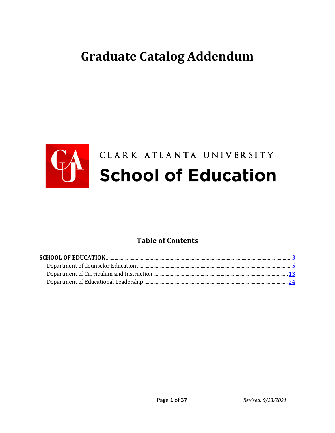# **Graduate Catalog Addendum**



### **Table of Contents**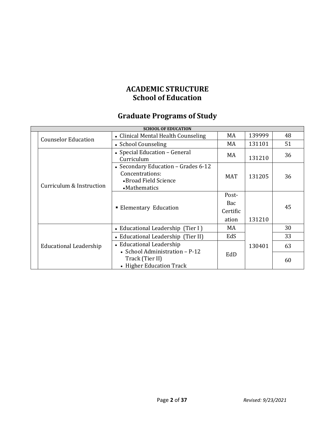### **ACADEMIC STRUCTURE School of Education**

## **Graduate Programs of Study**

|                        |                                                            | <b>SCHOOL OF EDUCATION</b>                                                                       |            |        |    |
|------------------------|------------------------------------------------------------|--------------------------------------------------------------------------------------------------|------------|--------|----|
|                        | <b>Counselor Education</b>                                 | • Clinical Mental Health Counseling                                                              | MA         | 139999 | 48 |
|                        |                                                            | • School Counseling                                                                              | MA         | 131101 | 51 |
|                        | Curriculum & Instruction                                   | • Special Education - General<br>Curriculum                                                      | MA         | 131210 | 36 |
|                        |                                                            | • Secondary Education – Grades 6-12<br>Concentrations:<br>• Broad Field Science<br>• Mathematics | <b>MAT</b> | 131205 | 36 |
|                        | ■ Elementary Education                                     | Post-<br>Bac<br>Certific<br>ation                                                                | 131210     | 45     |    |
|                        |                                                            | • Educational Leadership (Tier I)                                                                | MA         |        | 30 |
|                        |                                                            | • Educational Leadership (Tier II)                                                               | EdS        |        | 33 |
| Educational Leadership | • Educational Leadership<br>• School Administration - P-12 |                                                                                                  | 130401     | 63     |    |
|                        |                                                            | Track (Tier II)<br>• Higher Education Track                                                      | EdD        |        | 60 |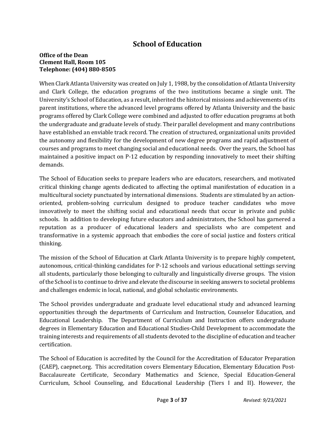### **School of Education**

#### **Office of the Dean Clement Hall, Room 105 Telephone: (404) 880-8505**

When Clark Atlanta University was created on July 1, 1988, by the consolidation of Atlanta University and Clark College, the education programs of the two institutions became a single unit. The University's School of Education, as a result, inherited the historical missions and achievements of its parent institutions, where the advanced level programs offered by Atlanta University and the basic programs offered by Clark College were combined and adjusted to offer education programs at both the undergraduate and graduate levels of study. Their parallel development and many contributions have established an enviable track record. The creation of structured, organizational units provided the autonomy and flexibility for the development of new degree programs and rapid adjustment of courses and programs to meet changing social and educational needs. Over the years, the School has maintained a positive impact on P-12 education by responding innovatively to meet their shifting demands.

The School of Education seeks to prepare leaders who are educators, researchers, and motivated critical thinking change agents dedicated to affecting the optimal manifestation of education in a multicultural society punctuated by international dimensions. Students are stimulated by an actionoriented, problem-solving curriculum designed to produce teacher candidates who move innovatively to meet the shifting social and educational needs that occur in private and public schools. In addition to developing future educators and administrators, the School has garnered a reputation as a producer of educational leaders and specialists who are competent and transformative in a systemic approach that embodies the core of social justice and fosters critical thinking.

The mission of the School of Education at Clark Atlanta University is to prepare highly competent, autonomous, critical-thinking candidates for P-12 schools and various educational settings serving all students, particularly those belonging to culturally and linguistically diverse groups. The vision of the School is to continue to drive and elevate the discourse in seeking answers to societal problems and challenges endemic in local, national, and global scholastic environments.

The School provides undergraduate and graduate level educational study and advanced learning opportunities through the departments of Curriculum and Instruction, Counselor Education, and Educational Leadership. The Department of Curriculum and Instruction offers undergraduate degrees in Elementary Education and Educational Studies-Child Development to accommodate the training interests and requirements of all students devoted to the discipline of education and teacher certification.

The School of Education is accredited by the Council for the Accreditation of Educator Preparation (CAEP), caepnet.org. This accreditation covers Elementary Education, Elementary Education Post-Baccalaureate Certificate, Secondary Mathematics and Science, Special Education-General Curriculum, School Counseling, and Educational Leadership (Tiers I and II). However, the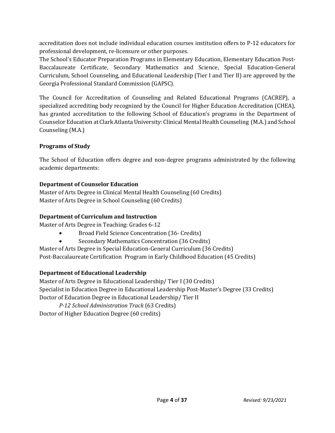accreditation does not include individual education courses institution offers to P-12 educators for professional development, re-licensure or other purposes.

The School's Educator Preparation Programs in Elementary Education, Elementary Education Post-Baccalaureate Certificate, Secondary Mathematics and Science, Special Education-General Curriculum, School Counseling, and Educational Leadership (Tier I and Tier II) are approved by the Georgia Professional Standard Commission (GAPSC).

The Council for Accreditation of Counseling and Related Educational Programs (CACREP), a specialized accrediting body recognized by the Council for Higher Education Accreditation (CHEA), has granted accreditation to the following School of Education's programs in the Department of Counselor Education at Clark Atlanta University: Clinical Mental Health Counseling (M.A.) and School Counseling (M.A.)

#### **Programs of Study**

The School of Education offers degree and non-degree programs administrated by the following academic departments:

#### **Department of Counselor Education**

Master of Arts Degree in Clinical Mental Health Counseling (60 Credits) Master of Arts Degree in School Counseling (60 Credits)

#### **Department of Curriculum and Instruction**

Master of Arts Degree in Teaching: Grades 6-12

- Broad Field Science Concentration (36- Credits)
- Secondary Mathematics Concentration (36 Credits)

Master of Arts Degree in Special Education-General Curriculum (36 Credits) Post-Baccalaureate Certification Program in Early Childhood Education (45 Credits)

#### **Department of Educational Leadership**

Master of Arts Degree in Educational Leadership/ Tier I (30 Credits) Specialist in Education Degree in Educational Leadership Post-Master's Degree (33 Credits) Doctor of Education Degree in Educational Leadership/ Tier II

*P-12 School Administration Track* (63 Credits)

Doctor of Higher Education Degree (60 credits)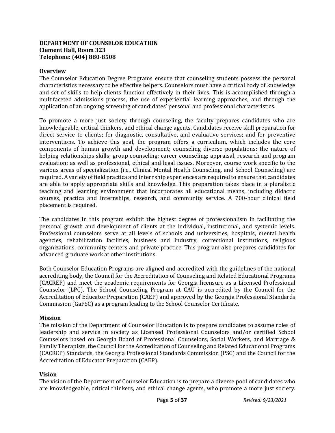#### **DEPARTMENT OF COUNSELOR EDUCATION Clement Hall, Room 323 Telephone: (404) 880-8508**

#### **Overview**

The Counselor Education Degree Programs ensure that counseling students possess the personal characteristics necessary to be effective helpers. Counselors must have a critical body of knowledge and set of skills to help clients function effectively in their lives. This is accomplished through a multifaceted admissions process, the use of experiential learning approaches, and through the application of an ongoing screening of candidates' personal and professional characteristics.

To promote a more just society through counseling, the faculty prepares candidates who are knowledgeable, critical thinkers, and ethical change agents. Candidates receive skill preparation for direct service to clients; for diagnostic, consultative, and evaluative services; and for preventive interventions. To achieve this goal, the program offers a curriculum, which includes the core components of human growth and development; counseling diverse populations; the nature of helping relationships skills; group counseling; career counseling; appraisal, research and program evaluation; as well as professional, ethical and legal issues. Moreover, course work specific to the various areas of specialization (i.e., Clinical Mental Health Counseling, and School Counseling) are required. A variety of field practica and internship experiences are required to ensure that candidates are able to apply appropriate skills and knowledge. This preparation takes place in a pluralistic teaching and learning environment that incorporates all educational means, including didactic courses, practica and internships, research, and community service. A 700-hour clinical field placement is required.

The candidates in this program exhibit the highest degree of professionalism in facilitating the personal growth and development of clients at the individual, institutional, and systemic levels. Professional counselors serve at all levels of schools and universities, hospitals, mental health agencies, rehabilitation facilities, business and industry, correctional institutions, religious organizations, community centers and private practice. This program also prepares candidates for advanced graduate work at other institutions.

Both Counselor Education Programs are aligned and accredited with the guidelines of the national accrediting body, the Council for the Accreditation of Counseling and Related Educational Programs (CACREP) and meet the academic requirements for Georgia licensure as a Licensed Professional Counselor (LPC). The School Counseling Program at CAU is accredited by the Council for the Accreditation of Educator Preparation (CAEP) and approved by the Georgia Professional Standards Commission (GaPSC) as a program leading to the School Counselor Certificate.

#### **Mission**

The mission of the Department of Counselor Education is to prepare candidates to assume roles of leadership and service in society as Licensed Professional Counselors and/or certified School Counselors based on Georgia Board of Professional Counselors, Social Workers, and Marriage & Family Therapists, the Council for the Accreditation of Counseling and Related Educational Programs (CACREP) Standards, the Georgia Professional Standards Commission (PSC) and the Council for the Accreditation of Educator Preparation (CAEP).

#### **Vision**

The vision of the Department of Counselor Education is to prepare a diverse pool of candidates who are knowledgeable, critical thinkers, and ethical change agents, who promote a more just society.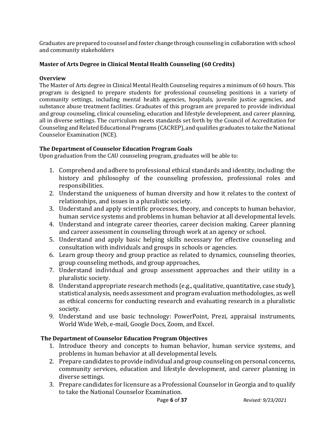Graduates are prepared to counsel and foster change through counseling in collaboration with school and community stakeholders

#### **Master of Arts Degree in Clinical Mental Health Counseling (60 Credits)**

#### **Overview**

The Master of Arts degree in Clinical Mental Health Counseling requires a minimum of 60 hours. This program is designed to prepare students for professional counseling positions in a variety of community settings, including mental health agencies, hospitals, juvenile justice agencies, and substance abuse treatment facilities. Graduates of this program are prepared to provide individual and group counseling, clinical counseling, education and lifestyle development, and career planning, all in diverse settings. The curriculum meets standards set forth by the Council of Accreditation for Counseling and Related Educational Programs (CACREP), and qualifies graduates to take the National Counselor Examination (NCE).

#### **The Department of Counselor Education Program Goals**

Upon graduation from the CAU counseling program, graduates will be able to:

- 1. Comprehend and adhere to professional ethical standards and identity, including: the history and philosophy of the counseling profession, professional roles and responsibilities.
- 2. Understand the uniqueness of human diversity and how it relates to the context of relationships, and issues in a pluralistic society.
- 3. Understand and apply scientific processes, theory, and concepts to human behavior, human service systems and problems in human behavior at all developmental levels.
- 4. Understand and integrate career theories, career decision making. Career planning and career assessment in counseling through work at an agency or school.
- 5. Understand and apply basic helping skills necessary for effective counseling and consultation with individuals and groups in schools or agencies.
- 6. Learn group theory and group practice as related to dynamics, counseling theories, group counseling methods, and group approaches,
- 7. Understand individual and group assessment approaches and their utility in a pluralistic society.
- 8. Understand appropriate research methods (e.g., qualitative, quantitative, case study), statistical analysis, needs assessment and program evaluation methodologies, as well as ethical concerns for conducting research and evaluating research in a pluralistic society.
- 9. Understand and use basic technology: PowerPoint, Prezi, appraisal instruments, World Wide Web, e-mail, Google Docs, Zoom, and Excel.

#### **The Department of Counselor Education Program Objectives**

- 1. Introduce theory and concepts to human behavior, human service systems, and problems in human behavior at all developmental levels.
- 2. Prepare candidates to provide individual and group counseling on personal concerns, community services, education and lifestyle development, and career planning in diverse settings.
- 3. Prepare candidates for licensure as a Professional Counselor in Georgia and to qualify to take the National Counselor Examination.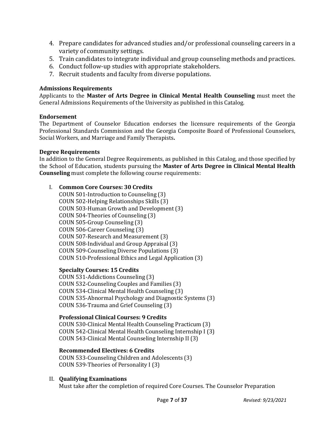- 4. Prepare candidates for advanced studies and/or professional counseling careers in a variety of community settings.
- 5. Train candidates to integrate individual and group counseling methods and practices.
- 6. Conduct follow-up studies with appropriate stakeholders.
- 7. Recruit students and faculty from diverse populations.

#### **Admissions Requirements**

Applicants to the **Master of Arts Degree in Clinical Mental Health Counseling** must meet the General Admissions Requirements of the University as published in this Catalog.

#### **Endorsement**

The Department of Counselor Education endorses the licensure requirements of the Georgia Professional Standards Commission and the Georgia Composite Board of Professional Counselors, Social Workers, and Marriage and Family Therapists**.**

#### **Degree Requirements**

In addition to the General Degree Requirements, as published in this Catalog, and those specified by the School of Education, students pursuing the **Master of Arts Degree in Clinical Mental Health Counseling** must complete the following course requirements:

#### I. **Common Core Courses: 30 Credits**

COUN 501-Introduction to Counseling (3) COUN 502-Helping Relationships Skills (3) COUN 503-Human Growth and Development (3) COUN 504-Theories of Counseling (3) COUN 505-Group Counseling (3) COUN 506-Career Counseling (3) COUN 507-Research and Measurement (3) COUN 508-Individual and Group Appraisal (3) COUN 509-Counseling Diverse Populations (3) COUN 510-Professional Ethics and Legal Application (3)

#### **Specialty Courses: 15 Credits**

COUN 531-Addictions Counseling (3) COUN 532-Counseling Couples and Families (3) COUN 534-Clinical Mental Health Counseling (3) COUN 535-Abnormal Psychology and Diagnostic Systems (3) COUN 536-Trauma and Grief Counseling (3)

#### **Professional Clinical Courses: 9 Credits**

COUN 530-Clinical Mental Health Counseling Practicum (3) COUN 542-Clinical Mental Health Counseling Internship I (3) COUN 543-Clinical Mental Counseling Internship II (3)

#### **Recommended Electives: 6 Credits**

COUN 533-Counseling Children and Adolescents (3) COUN 539-Theories of Personality I (3)

#### II. **Qualifying Examinations**

Must take after the completion of required Core Courses. The Counselor Preparation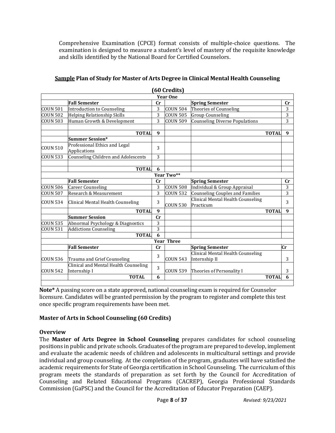Comprehensive Examination (CPCE) format consists of multiple-choice questions. The examination is designed to measure a student's level of mastery of the requisite knowledge and skills identified by the National Board for Certified Counselors.

|                     |                                                       |                  | <b>OU Creatis</b> |                                                    |                |
|---------------------|-------------------------------------------------------|------------------|-------------------|----------------------------------------------------|----------------|
|                     |                                                       |                  | <b>Year One</b>   |                                                    |                |
|                     | <b>Fall Semester</b>                                  | cr               |                   | <b>Spring Semester</b>                             | cr             |
| <b>COUN 501</b>     | Introduction to Counseling                            | 3                | <b>COUN 504</b>   | Theories of Counseling                             | 3              |
| <b>COUN 502</b>     | Helping Relationship Skills                           | 3                | <b>COUN 505</b>   | <b>Group Counseling</b>                            | $\overline{3}$ |
| COUN 503            | Human Growth & Development                            | 3                | <b>COUN 509</b>   | <b>Counseling Diverse Populations</b>              | 3              |
|                     | <b>TOTAL</b>                                          | 9                |                   | <b>TOTAL</b>                                       | 9              |
|                     | <b>Summer Session*</b>                                |                  |                   |                                                    |                |
| <b>COUN 510</b>     | Professional Ethics and Legal<br>Applications         | 3                |                   |                                                    |                |
| COUN 533            | Counseling Children and Adolescents                   | 3                |                   |                                                    |                |
|                     | <b>TOTAL</b>                                          | 6                |                   |                                                    |                |
|                     |                                                       |                  | Year Two**        |                                                    |                |
|                     | <b>Fall Semester</b>                                  | cr               |                   | <b>Spring Semester</b>                             | cr             |
| <b>COUN 506</b>     | <b>Career Counseling</b>                              | 3                | <b>COUN 508</b>   | Individual & Group Appraisal                       | 3              |
| COUN <sub>507</sub> | Research & Measurement                                | 3                | <b>COUN 532</b>   | <b>Counseling Couples and Families</b>             | 3              |
| <b>COUN 534</b>     | Clinical Mental Health Counseling                     | 3                | <b>COUN 530</b>   | Clinical Mental Health Counseling<br>Practicum     | 3              |
|                     | <b>TOTAL</b>                                          | $\boldsymbol{q}$ |                   | <b>TOTAL</b>                                       | $\mathbf{q}$   |
|                     | <b>Summer Session</b>                                 | cr               |                   |                                                    |                |
| <b>COUN 535</b>     | Abnormal Psychology & Diagnostics                     | 3                |                   |                                                    |                |
| <b>COUN 531</b>     | <b>Addictions Counseling</b>                          | 3                |                   |                                                    |                |
|                     | <b>TOTAL</b>                                          | 6                |                   |                                                    |                |
|                     |                                                       |                  | <b>Year Three</b> |                                                    |                |
|                     | <b>Fall Semester</b>                                  | cr               |                   | <b>Spring Semester</b>                             | Сr             |
| <b>COUN 536</b>     | Trauma and Grief Counseling                           | 3                | <b>COUN 543</b>   | Clinical Mental Health Counseling<br>Internship II | 3              |
| <b>COUN 542</b>     | Clinical and Mental Health Counseling<br>Internship I | 3                | <b>COUN 539</b>   | Theories of Personality I                          | 3              |
|                     | <b>TOTAL</b>                                          | 6                |                   | <b>TOTAL</b>                                       | 6              |

#### **Sample Plan of Study for Master of Arts Degree in Clinical Mental Health Counseling (60 Credits)**

**Note\*** A passing score on a state approved, national counseling exam is required for Counselor licensure. Candidates will be granted permission by the program to register and complete this test once specific program requirements have been met.

#### **Master of Arts in School Counseling (60 Credits)**

#### **Overview**

The **Master of Arts Degree in School Counseling** prepares candidates for school counseling positions in public and private schools. Graduates of the program are prepared to develop, implement and evaluate the academic needs of children and adolescents in multicultural settings and provide individual and group counseling. At the completion of the program, graduates will have satisfied the academic requirements for State of Georgia certification in School Counseling. The curriculum of this program meets the standards of preparation as set forth by the Council for Accreditation of Counseling and Related Educational Programs (CACREP), Georgia Professional Standards Commission (GaPSC) and the Council for the Accreditation of Educator Preparation (CAEP).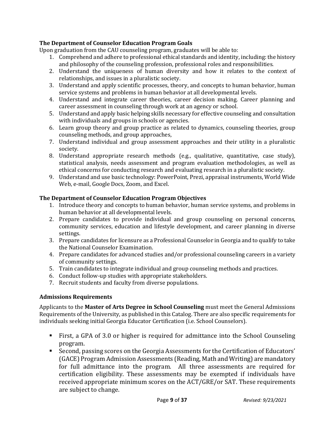#### **The Department of Counselor Education Program Goals**

Upon graduation from the CAU counseling program, graduates will be able to:

- 1. Comprehend and adhere to professional ethical standards and identity, including: the history and philosophy of the counseling profession, professional roles and responsibilities.
- 2. Understand the uniqueness of human diversity and how it relates to the context of relationships, and issues in a pluralistic society.
- 3. Understand and apply scientific processes, theory, and concepts to human behavior, human service systems and problems in human behavior at all developmental levels.
- 4. Understand and integrate career theories, career decision making. Career planning and career assessment in counseling through work at an agency or school.
- 5. Understand and apply basic helping skills necessary for effective counseling and consultation with individuals and groups in schools or agencies.
- 6. Learn group theory and group practice as related to dynamics, counseling theories, group counseling methods, and group approaches,
- 7. Understand individual and group assessment approaches and their utility in a pluralistic society.
- 8. Understand appropriate research methods (e.g., qualitative, quantitative, case study), statistical analysis, needs assessment and program evaluation methodologies, as well as ethical concerns for conducting research and evaluating research in a pluralistic society.
- 9. Understand and use basic technology: PowerPoint, Prezi, appraisal instruments, World Wide Web, e-mail, Google Docs, Zoom, and Excel.

#### **The Department of Counselor Education Program Objectives**

- 1. Introduce theory and concepts to human behavior, human service systems, and problems in human behavior at all developmental levels.
- 2. Prepare candidates to provide individual and group counseling on personal concerns, community services, education and lifestyle development, and career planning in diverse settings.
- 3. Prepare candidates for licensure as a Professional Counselor in Georgia and to qualify to take the National Counselor Examination.
- 4. Prepare candidates for advanced studies and/or professional counseling careers in a variety of community settings.
- 5. Train candidates to integrate individual and group counseling methods and practices.
- 6. Conduct follow-up studies with appropriate stakeholders.
- 7. Recruit students and faculty from diverse populations.

#### **Admissions Requirements**

Applicants to the **Master of Arts Degree in School Counseling** must meet the General Admissions Requirements of the University, as published in this Catalog. There are also specific requirements for individuals seeking initial Georgia Educator Certification (i.e. School Counselors).

- First, a GPA of 3.0 or higher is required for admittance into the School Counseling program.
- Second, passing scores on the Georgia Assessments for the Certification of Educators' (GACE) Program Admission Assessments (Reading, Math and Writing) are mandatory for full admittance into the program. All three assessments are required for certification eligibility. These assessments may be exempted if individuals have received appropriate minimum scores on the ACT/GRE/or SAT. These requirements are subject to change.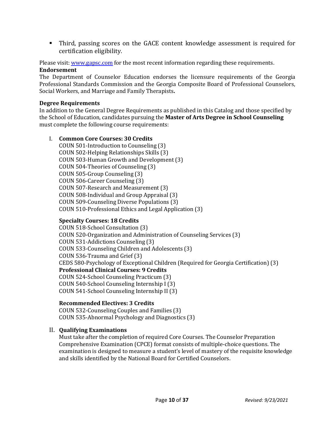Third, passing scores on the GACE content knowledge assessment is required for certification eligibility.

Please visit: [www.gapsc.com](http://www.gapsc.com/) for the most recent information regarding these requirements.

#### **Endorsement**

The Department of Counselor Education endorses the licensure requirements of the Georgia Professional Standards Commission and the Georgia Composite Board of Professional Counselors, Social Workers, and Marriage and Family Therapists**.** 

#### **Degree Requirements**

In addition to the General Degree Requirements as published in this Catalog and those specified by the School of Education, candidates pursuing the **Master of Arts Degree in School Counseling**  must complete the following course requirements:

#### I. **Common Core Courses: 30 Credits**

COUN 501-Introduction to Counseling (3) COUN 502-Helping Relationships Skills (3) COUN 503-Human Growth and Development (3) COUN 504-Theories of Counseling (3) COUN 505-Group Counseling (3) COUN 506-Career Counseling (3) COUN 507-Research and Measurement (3) COUN 508-Individual and Group Appraisal (3) COUN 509-Counseling Diverse Populations (3) COUN 510-Professional Ethics and Legal Application (3)

#### **Specialty Courses: 18 Credits**

COUN 518-School Consultation (3) COUN 520-Organization and Administration of Counseling Services (3) COUN 531-Addictions Counseling (3) COUN 533-Counseling Children and Adolescents (3) COUN 536-Trauma and Grief (3) CEDS 580-Psychology of Exceptional Children (Required for Georgia Certification) (3) **Professional Clinical Courses: 9 Credits** COUN 524-School Counseling Practicum (3) COUN 540-School Counseling Internship I (3) COUN 541-School Counseling Internship II (3)

#### **Recommended Electives: 3 Credits**

COUN 532-Counseling Couples and Families (3) COUN 535-Abnormal Psychology and Diagnostics (3)

#### II. **Qualifying Examinations**

Must take after the completion of required Core Courses. The Counselor Preparation Comprehensive Examination (CPCE) format consists of multiple-choice questions. The examination is designed to measure a student's level of mastery of the requisite knowledge and skills identified by the National Board for Certified Counselors.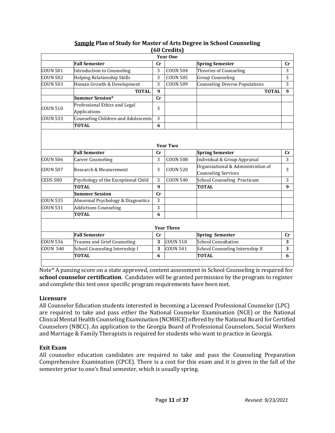|                 |                                            |    | (ou creaits)      |                                                                  |    |
|-----------------|--------------------------------------------|----|-------------------|------------------------------------------------------------------|----|
|                 |                                            |    | <b>Year One</b>   |                                                                  |    |
|                 | <b>Fall Semester</b>                       | cr |                   | <b>Spring Semester</b>                                           | cr |
| COUN 501        | <b>Introduction to Counseling</b>          | 3  | <b>COUN 504</b>   | Theories of Counseling                                           | 3  |
| <b>COUN 502</b> | <b>Helping Relationship Skills</b>         | 3  | <b>COUN 505</b>   | <b>Group Counseling</b>                                          | 3  |
| <b>COUN 503</b> | Human Growth & Development                 | 3  | <b>COUN 509</b>   | <b>Counseling Diverse Populations</b>                            | 3  |
|                 | <b>TOTAL</b>                               | 9  |                   | <b>TOTAL</b>                                                     | 9  |
|                 | <b>Summer Session*</b>                     | cr |                   |                                                                  |    |
| <b>COUN 510</b> | Professional Ethics and Legal              | 3  |                   |                                                                  |    |
|                 | Applications                               |    |                   |                                                                  |    |
| <b>COUN 533</b> | <b>Counseling Children and Adolescents</b> | 3  |                   |                                                                  |    |
|                 | <b>TOTAL</b>                               | 6  |                   |                                                                  |    |
|                 |                                            |    |                   |                                                                  |    |
|                 |                                            |    |                   |                                                                  |    |
|                 |                                            |    | <b>Year Two</b>   |                                                                  |    |
|                 | <b>Fall Semester</b>                       | cr |                   | <b>Spring Semester</b>                                           | cr |
| COUN 506        | <b>Career Counseling</b>                   | 3  | <b>COUN 508</b>   | Individual & Group Appraisal                                     | 3  |
| <b>COUN 507</b> | Research & Measurement                     | 3  | <b>COUN 520</b>   | Organizational & Administration of<br><b>Counseling Services</b> | 3  |
| <b>CEDS 580</b> | Psychology of the Exceptional Child        | 3  | <b>COUN 540</b>   | <b>School Counseling Practicum</b>                               | 3  |
|                 | <b>TOTAL</b>                               | 9  |                   | <b>TOTAL</b>                                                     | 9  |
|                 | <b>Summer Session</b>                      | cr |                   |                                                                  |    |
| <b>COUN 535</b> | Abnormal Psychology & Diagnostics          | 3  |                   |                                                                  |    |
| <b>COUN 531</b> | <b>Addictions Counseling</b>               | 3  |                   |                                                                  |    |
|                 | <b>TOTAL</b>                               | 6  |                   |                                                                  |    |
|                 |                                            |    |                   |                                                                  |    |
|                 |                                            |    | <b>Year Three</b> |                                                                  |    |
|                 | <b>Fall Semester</b>                       | cr |                   | <b>Spring Semester</b>                                           | cr |
| <b>COUN 536</b> | Trauma and Grief Counseling                | 3  | <b>COUN 518</b>   | <b>School Consultation</b>                                       | 3  |
|                 |                                            |    |                   |                                                                  |    |
| <b>COUN 540</b> | School Counseling Internship I             | 3  | <b>COUN 541</b>   | School Counseling Internship II                                  | 3  |

#### **Sample Plan of Study for Master of Arts Degree in School Counseling (60 Credits)**

Note\* A passing score on a state approved, content assessment in School Counseling is required for **school counselor certification**. Candidates will be granted permission by the program to register and complete this test once specific program requirements have been met.

#### **Licensure**

All Counselor Education students interested in becoming a Licensed Professional Counselor (LPC) are required to take and pass either the National Counselor Examination (NCE) or the National Clinical Mental Health Counseling Examination (NCMHCE) offered by the National Board for Certified Counselors (NBCC). An application to the Georgia Board of Professional Counselors, Social Workers and Marriage & Family Therapists is required for students who want to practice in Georgia.

#### **Exit Exam**

All counselor education candidates are required to take and pass the Counseling Preparation Comprehensive Examination (CPCE). There is a cost for this exam and it is given in the fall of the semester prior to one's final semester, which is usually spring.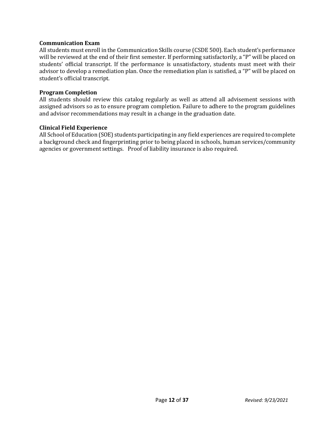#### **Communication Exam**

All students must enroll in the Communication Skills course (CSDE 500). Each student's performance will be reviewed at the end of their first semester. If performing satisfactorily, a "P" will be placed on students' official transcript. If the performance is unsatisfactory, students must meet with their advisor to develop a remediation plan. Once the remediation plan is satisfied, a "P" will be placed on student's official transcript.

#### **Program Completion**

All students should review this catalog regularly as well as attend all advisement sessions with assigned advisors so as to ensure program completion. Failure to adhere to the program guidelines and advisor recommendations may result in a change in the graduation date.

#### **Clinical Field Experience**

All School of Education (SOE) students participating in any field experiences are required to complete a background check and fingerprinting prior to being placed in schools, human services/community agencies or government settings. Proof of liability insurance is also required.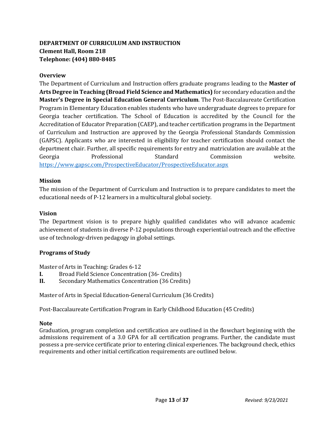### **DEPARTMENT OF CURRICULUM AND INSTRUCTION Clement Hall, Room 218 Telephone: (404) 880-8485**

#### **Overview**

The Department of Curriculum and Instruction offers graduate programs leading to the **Master of Arts Degree in Teaching (Broad Field Science and Mathematics)** for secondary education and the **Master's Degree in Special Education General Curriculum**. The Post-Baccalaureate Certification Program in Elementary Education enables students who have undergraduate degrees to prepare for Georgia teacher certification. The School of Education is accredited by the Council for the Accreditation of Educator Preparation (CAEP), and teacher certification programs in the Department of Curriculum and Instruction are approved by the Georgia Professional Standards Commission (GAPSC). Applicants who are interested in eligibility for teacher certification should contact the department chair. Further, all specific requirements for entry and matriculation are available at the Georgia Professional Standard Commission website. <https://www.gapsc.com/ProspectiveEducator/ProspectiveEducator.aspx>

#### **Mission**

The mission of the Department of Curriculum and Instruction is to prepare candidates to meet the educational needs of P-12 learners in a multicultural global society.

#### **Vision**

The Department vision is to prepare highly qualified candidates who will advance academic achievement of students in diverse P-12 populations through experiential outreach and the effective use of technology-driven pedagogy in global settings.

#### **Programs of Study**

Master of Arts in Teaching: Grades 6-12<br> **I.** Broad Field Science Concentration

- **I.** Broad Field Science Concentration (36- Credits)<br>**II.** Secondary Mathematics Concentration (36 Credition)
- **Secondary Mathematics Concentration (36 Credits)**

Master of Arts in Special Education-General Curriculum (36 Credits)

Post-Baccalaureate Certification Program in Early Childhood Education (45 Credits)

#### **Note**

Graduation, program completion and certification are outlined in the flowchart beginning with the admissions requirement of a 3.0 GPA for all certification programs. Further, the candidate must possess a pre-service certificate prior to entering clinical experiences. The background check, ethics requirements and other initial certification requirements are outlined below.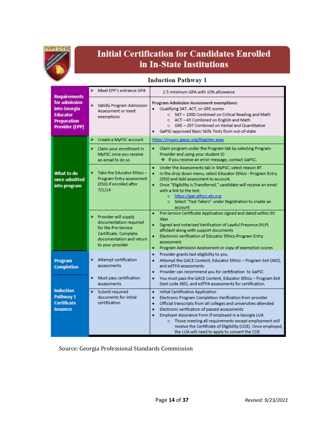

## **Initial Certification for Candidates Enrolled** in In-State Institutions

#### **Induction Pathway 1**

| <b>Requirements</b>                                                                             | > Meet EPP's entrance GPA                                                                                                                           | 2.5 minimum GPA with 10% allowance                                                                                                                                                                                                                                                                                                                                                                                                                                                      |
|-------------------------------------------------------------------------------------------------|-----------------------------------------------------------------------------------------------------------------------------------------------------|-----------------------------------------------------------------------------------------------------------------------------------------------------------------------------------------------------------------------------------------------------------------------------------------------------------------------------------------------------------------------------------------------------------------------------------------------------------------------------------------|
| for admission<br>into Georgia<br><b>Educator</b><br><b>Preparation</b><br><b>Provider (EPP)</b> | Satisfy Program Admission<br>⋗<br>Assessment or meet<br>exemptions                                                                                  | Program Admission Assessment exemptions:<br>Qualifying SAT, ACT, or GRE scores<br>$\bullet$<br>o SAT - 1000 Combined on Critical Reading and Math<br>o ACT - 43 Combined on English and Math<br>o GRE - 297 Combined on Verbal and Quantitative<br>GaPSC-approved Basic Skills Tests from out-of-state<br>۰                                                                                                                                                                             |
|                                                                                                 | ⋗<br>Create a MyPSC account                                                                                                                         | https://mypsc.gapsc.org/Register.aspx                                                                                                                                                                                                                                                                                                                                                                                                                                                   |
|                                                                                                 | > Claim your enrollment in<br>MyPSC once you receive<br>an email to do so                                                                           | ٠<br>Claim program under the Program tab by selecting Program<br>Provider and using your student ID<br><b><math>\div</math></b> If you receive an error message, contact GaPSC.                                                                                                                                                                                                                                                                                                         |
| What to do<br>once admitted<br>into program                                                     | ×<br>Take the Educator Ethics -<br>Program Entry assessment<br>(350) if enrolled after<br>7/1/14                                                    | Under the Assessments tab in MyPSC, select reason #7.<br>٠<br>In the drop down menu, select Educator Ethics - Program Entry<br>٠<br>(350) and Add assessment to account.<br>Once "Eligibility is Transferred," candidate will receive an email<br>٠<br>with a link to the test.<br>o https://gat.ethics.ets.org<br>Select "Test Takers" under Registration to create an<br>$\circ$<br>account                                                                                           |
|                                                                                                 | ⋗<br>Provider will supply<br>documentation required<br>for the Pre-Service<br>Certificate. Complete<br>documentation and return<br>to your provider | Pre-Service Certificate Application signed and dated within 90<br>٠<br>days<br>Signed and notarized Verification of Lawful Presence (VLP)<br>٠<br>affidavit along with support documents<br>Electronic verification of Educator Ethics-Program Entry<br>٠<br>assessment<br>Program Admission Assessment or copy of exemption scores<br>٠                                                                                                                                                |
| <b>Program</b><br><b>Completion</b>                                                             | > Attempt certification<br>assessments                                                                                                              | Provider grants test eligibility to you.<br>٠<br>Attempt the GACE Content, Educator Ethics - Program Exit (360),<br>٠<br>and edTPA assessments<br>Provider can recommend you for certification to GaPSC<br>٠                                                                                                                                                                                                                                                                            |
|                                                                                                 | ⋗<br>Must pass certification<br>assessments                                                                                                         | You must pass the GACE Content, Educator Ethics - Program Exit<br>۰<br>(test code 360), and edTPA assessments for certification.                                                                                                                                                                                                                                                                                                                                                        |
| <b>Induction</b><br>Pathway 1<br><b>Certificate</b><br><b>issuance</b>                          | ➤<br>Submit required<br>documents for initial<br>certification                                                                                      | <b>Initial Certification Application</b><br>٠<br>Electronic Program Completion Verification from provider<br>٠<br>Official transcripts from all colleges and universities attended<br>٠<br>Electronic verification of passed assessments<br>٠<br>Employer Assurance Form if employed in a Georgia LUA<br>٠<br>o Those meeting all requirements except employment will<br>receive the Certificate of Eligibility (COE). Once employed,<br>the LUA will need to apply to convert the COE. |

Source: Georgia Professional Standards Commission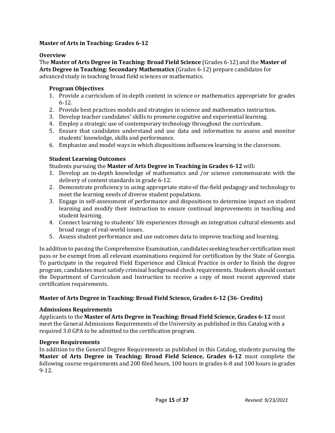#### **Master of Arts in Teaching: Grades 6-12**

#### **Overview**

The **Master of Arts Degree in Teaching: Broad Field Science** (Grades 6-12) and the **Master of Arts Degree in Teaching: Secondary Mathematics** (Grades 6-12) prepare candidates for advanced study in teaching broad field sciences or mathematics.

#### **Program Objectives**

- 1. Provide a curriculum of in-depth content in science or mathematics appropriate for grades 6-12.
- 2. Provide best practices models and strategies in science and mathematics instruction.
- 3. Develop teacher candidates' skills to promote cognitive and experiential learning.
- 4. Employ a strategic use of contemporary technology throughout the curriculum.
- 5. Ensure that candidates understand and use data and information to assess and monitor students' knowledge, skills and performance.
- 6. Emphasize and model ways in which dispositions influences learning in the classroom.

#### **Student Learning Outcomes**

#### Students pursuing the **Master of Arts Degree in Teaching in Grades 6-12** will**:**

- 1. Develop an in-depth knowledge of mathematics and /or science commensurate with the delivery of content standards in grade 6-12.
- 2. Demonstrate proficiency in using appropriate state-of the-field pedagogy and technology to meet the learning needs of diverse student populations.
- 3. Engage in self-assessment of performance and dispositions to determine impact on student learning and modify their instruction to ensure continual improvements in teaching and student learning.
- 4. Connect learning to students' life experiences through an integration cultural elements and broad range of real-world issues.
- 5. Assess student performance and use outcomes data to improve teaching and learning.

In addition to passing the Comprehensive Examination, candidates seeking teacher certification must pass or be exempt from all relevant examinations required for certification by the State of Georgia. To participate in the required Field Experience and Clinical Practice in order to finish the degree program, candidates must satisfy criminal background check requirements. Students should contact the Department of Curriculum and Instruction to receive a copy of most recent approved state certification requirements.

#### **Master of Arts Degree in Teaching: Broad Field Science, Grades 6-12 (36- Credits)**

#### **Admissions Requirements**

Applicants to the **Master of Arts Degree in Teaching: Broad Field Science, Grades 6-12** must meet the General Admissions Requirements of the University as published in this Catalog with a required 3.0 GPA to be admitted to the certification program.

#### **Degree Requirements**

In addition to the General Degree Requirements as published in this Catalog, students pursuing the **Master of Arts Degree in Teaching: Broad Field Science, Grades 6-12** must complete the following course requirements and 200 filed hours, 100 hours in grades 6-8 and 100 hours in grades 9-12.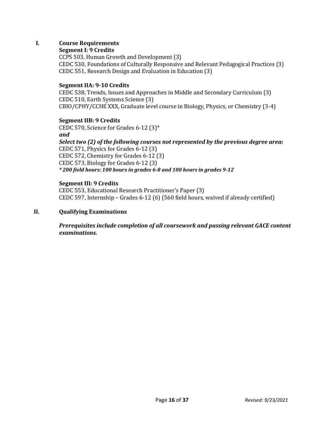#### **I. Course Requirements**

#### **Segment I: 9 Credits**

CCPS 503, Human Growth and Development (3) CEDC 530, Foundations of Culturally Responsive and Relevant Pedagogical Practices (3) CEDC 551, Research Design and Evaluation in Education (3)

#### **Segment IIA: 9-10 Credits**

CEDC 538, Trends, Issues and Approaches in Middle and Secondary Curriculum (3) CEDC 510, Earth Systems Science (3) CBIO/CPHY/CCHE XXX, Graduate level course in Biology, Physics, or Chemistry (3-4)

#### **Segment IIB: 9 Credits**

CEDC 570, Science for Grades 6-12 (3)\* *and*

*Select two (2) of the following courses not represented by the previous degree area:* CEDC 571, Physics for Grades 6-12 (3) CEDC 572, Chemistry for Grades 6-12 (3) CEDC 573, Biology for Grades 6-12 (3) *\* 200 field hours: 100 hours in grades 6-8 and 100 hours in grades 9-12*

#### **Segment III: 9 Credits**

CEDC 553, Educational Research Practitioner's Paper (3) CEDC 597, Internship – Grades 6-12 (6) (560 field hours, waived if already certified)

#### **II. Qualifying Examinations**

*Prerequisites include completion of all coursework and passing relevant GACE content examinations.*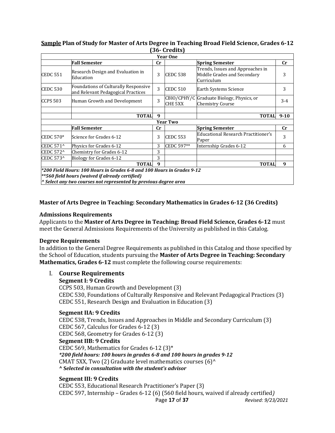#### **Sample Plan of Study for Master of Arts Degree in Teaching Broad Field Science, Grades 6-12 (36- Credits)**

|                  |                                                                            |                | <u></u>         |                                                                               |          |
|------------------|----------------------------------------------------------------------------|----------------|-----------------|-------------------------------------------------------------------------------|----------|
|                  |                                                                            |                | <b>Year One</b> |                                                                               |          |
|                  | <b>Fall Semester</b>                                                       | cr             |                 | <b>Spring Semester</b>                                                        | cr       |
| <b>CEDC 551</b>  | Research Design and Evaluation in<br>Education                             | 3              | <b>CEDC 538</b> | Trends, Issues and Approaches in<br>Middle Grades and Secondary<br>Curriculum | 3        |
| <b>CEDC 530</b>  | Foundations of Culturally Responsive<br>and Relevant Pedagogical Practices | 3              | <b>CEDC 510</b> | Earth Systems Science                                                         | 3        |
| <b>CCPS 503</b>  | Human Growth and Development                                               | 3              | CHE 5XX         | CBIO/CPHY/C Graduate Biology, Physics, or<br><b>Chemistry Course</b>          | $3 - 4$  |
|                  |                                                                            |                |                 |                                                                               |          |
|                  | <b>TOTAL</b>                                                               | 9              |                 | <b>TOTAL</b>                                                                  | $9 - 10$ |
|                  |                                                                            |                | <b>Year Two</b> |                                                                               |          |
|                  | <b>Fall Semester</b>                                                       | $\mathbf{C}$ r |                 | <b>Spring Semester</b>                                                        | cr       |
| CEDC 570*        | Science for Grades 6-12                                                    | 3              | <b>CEDC 553</b> | <b>Educational Research Practitioner's</b><br>Paper                           | 3        |
| CEDC 571^        | Physics for Grades 6-12                                                    | 3              | CEDC 597**      | Internship Grades 6-12                                                        | 6        |
| <b>CEDC 572^</b> | Chemistry for Grades 6-12                                                  | 3              |                 |                                                                               |          |
| CEDC 573^        | Biology for Grades 6-12                                                    | 3              |                 |                                                                               |          |
|                  | <b>TOTAL</b>                                                               | 9              |                 | <b>TOTAL</b>                                                                  | 9        |

*^ Select any two courses not represented by previous degree area*

#### **Master of Arts Degree in Teaching: Secondary Mathematics in Grades 6-12 (36 Credits)**

#### **Admissions Requirements**

Applicants to the **Master of Arts Degree in Teaching: Broad Field Science, Grades 6-12** must meet the General Admissions Requirements of the University as published in this Catalog.

#### **Degree Requirements**

In addition to the General Degree Requirements as published in this Catalog and those specified by the School of Education, students pursuing the **Master of Arts Degree in Teaching: Secondary Mathematics, Grades 6-12** must complete the following course requirements:

#### I. **Course Requirements**

#### **Segment I: 9 Credits**

CCPS 503, Human Growth and Development (3) CEDC 530, Foundations of Culturally Responsive and Relevant Pedagogical Practices (3) CEDC 551, Research Design and Evaluation in Education (3)

#### **Segment IIA: 9 Credits**

CEDC 538, Trends, Issues and Approaches in Middle and Secondary Curriculum (3) CEDC 567, Calculus for Grades 6-12 (3) CEDC 568, Geometry for Grades 6-12 (3) **Segment IIB: 9 Credits** CEDC 569, Mathematics for Grades 6-12 (3)\* *\*200 field hours: 100 hours in grades 6-8 and 100 hours in grades 9-12* CMAT 5XX, Two (2) Graduate level mathematics courses  $(6)^{\wedge}$ **^ S***elected in consultation with the student's advisor*

#### **Segment III: 9 Credits**

 Page **17** of **37** *Revised: 9/23/2021* CEDC 553, Educational Research Practitioner's Paper (3) CEDC 597, Internship – Grades 6-12 (6) (560 field hours, waived if already certified*)*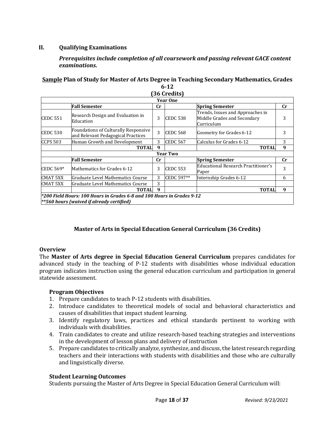#### **II. Qualifying Examinations**

#### *Prerequisites include completion of all coursework and passing relevant GACE content examinations.*

#### **Sample Plan of Study for Master of Arts Degree in Teaching Secondary Mathematics, Grades 6-12 (36 Credits)**

|                 |                                                                                   |                | <b>JU GEGALS</b>    |                                                                               |             |
|-----------------|-----------------------------------------------------------------------------------|----------------|---------------------|-------------------------------------------------------------------------------|-------------|
|                 |                                                                                   |                | <b>Year One</b>     |                                                                               |             |
|                 | <b>Fall Semester</b>                                                              | cr             |                     | <b>Spring Semester</b>                                                        | $_{\rm Cr}$ |
| <b>CEDC 551</b> | Research Design and Evaluation in<br>Education                                    | 3              | <b>CEDC 538</b>     | Trends, Issues and Approaches in<br>Middle Grades and Secondary<br>Curriculum | 3           |
| <b>CEDC 530</b> | <b>Foundations of Culturally Responsive</b><br>and Relevant Pedagogical Practices | 3              | CEDC 568            | Geometry for Grades 6-12                                                      | 3           |
| <b>CCPS 503</b> | Human Growth and Development                                                      | 3              | CEDC <sub>567</sub> | Calculus for Grades 6-12                                                      | 3           |
|                 | <b>TOTAL</b>                                                                      | 9              |                     | <b>TOTAL</b>                                                                  | 9           |
|                 |                                                                                   |                | <b>Year Two</b>     |                                                                               |             |
|                 | <b>Fall Semester</b>                                                              | $\mathbf{C}$ r |                     | <b>Spring Semester</b>                                                        | $_{\rm Cr}$ |
| CEDC 569*       | Mathematics for Grades 6-12                                                       | 3              | <b>CEDC 553</b>     | Educational Research Practitioner's<br>Paper                                  | 3           |
| <b>CMAT 5XX</b> | Graduate Level Mathematics Course                                                 | 3              | CEDC 597**          | Internship Grades 6-12                                                        | 6           |
| <b>CMAT 5XX</b> | Graduate Level Mathematics Course                                                 | 3              |                     |                                                                               |             |
|                 | TOTAL                                                                             | 9              |                     | <b>TOTAL</b>                                                                  | 9           |

#### **Master of Arts in Special Education General Curriculum (36 Credits)**

#### **Overview**

The **Master of Arts degree in Special Education General Curriculum** prepares candidates for advanced study in the teaching of P-12 students with disabilities whose individual education program indicates instruction using the general education curriculum and participation in general statewide assessment.

#### **Program Objectives**

- 1. Prepare candidates to teach P-12 students with disabilities.
- 2. Introduce candidates to theoretical models of social and behavioral characteristics and causes of disabilities that impact student learning.
- 3. Identify regulatory laws, practices and ethical standards pertinent to working with individuals with disabilities.
- 4. Train candidates to create and utilize research-based teaching strategies and interventions in the development of lesson plans and delivery of instruction
- 5. Prepare candidates to critically analyze, synthesize, and discuss, the latest research regarding teachers and their interactions with students with disabilities and those who are culturally and linguistically diverse.

#### **Student Learning Outcomes**

Students pursuing the Master of Arts Degree in Special Education General Curriculum will: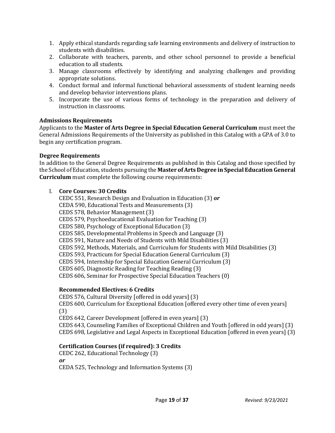- 1. Apply ethical standards regarding safe learning environments and delivery of instruction to students with disabilities.
- 2. Collaborate with teachers, parents, and other school personnel to provide a beneficial education to all students.
- 3. Manage classrooms effectively by identifying and analyzing challenges and providing appropriate solutions.
- 4. Conduct formal and informal functional behavioral assessments of student learning needs and develop behavior interventions plans.
- 5. Incorporate the use of various forms of technology in the preparation and delivery of instruction in classrooms.

#### **Admissions Requirements**

Applicants to the **Master of Arts Degree in Special Education General Curriculum** must meet the General Admissions Requirements of the University as published in this Catalog with a GPA of 3.0 to begin any certification program.

#### **Degree Requirements**

In addition to the General Degree Requirements as published in this Catalog and those specified by the School of Education, students pursuing the **Master of Arts Degree in Special Education General Curriculum** must complete the following course requirements:

#### I. **Core Courses: 30 Credits**

CEDC 551, Research Design and Evaluation in Education (3) *or* CEDA 590, Educational Tests and Measurements (3) CEDS 578, Behavior Management (3) CEDS 579, Psychoeducational Evaluation for Teaching (3) CEDS 580, Psychology of Exceptional Education (3) CEDS 585, Developmental Problems in Speech and Language (3) CEDS 591, Nature and Needs of Students with Mild Disabilities (3) CEDS 592, Methods, Materials, and Curriculum for Students with Mild Disabilities (3) CEDS 593, Practicum for Special Education General Curriculum (3) CEDS 594, Internship for Special Education General Curriculum (3) CEDS 605, Diagnostic Reading for Teaching Reading (3) CEDS 606, Seminar for Prospective Special Education Teachers (0)

#### **Recommended Electives: 6 Credits**

CEDS 576, Cultural Diversity [offered in odd years] (3) CEDS 600, Curriculum for Exceptional Education [offered every other time of even years] (3) CEDS 642, Career Development [offered in even years] (3) CEDS 643, Counseling Families of Exceptional Children and Youth [offered in odd years] (3) CEDS 698, Legislative and Legal Aspects in Exceptional Education [offered in even years] (3)

#### **Certification Courses (if required): 3 Credits**

CEDC 262, Educational Technology (3) *or* CEDA 525, Technology and Information Systems (3)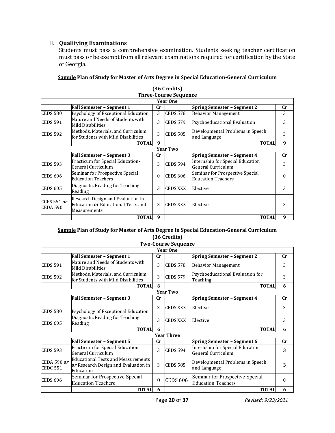#### II. **Qualifying Examinations**

Students must pass a comprehensive examination. Students seeking teacher certification must pass or be exempt from all relevant examinations required for certification by the State of Georgia.

|  |  | Sample Plan of Study for Master of Arts Degree in Special Education-General Curriculum |
|--|--|----------------------------------------------------------------------------------------|
|  |  |                                                                                        |

|                                  |                                                                                                |             | <b>Three-Course Sequence</b> |                                                              |             |
|----------------------------------|------------------------------------------------------------------------------------------------|-------------|------------------------------|--------------------------------------------------------------|-------------|
|                                  |                                                                                                |             | <b>Year One</b>              |                                                              |             |
|                                  | <b>Fall Semester - Segment 1</b>                                                               | $_{\rm Cr}$ |                              | <b>Spring Semester – Segment 2</b>                           | $_{\rm Cr}$ |
| <b>CEDS 580</b>                  | Psychology of Exceptional Education                                                            | 3           | CEDS 578                     | <b>Behavior Management</b>                                   | 3           |
| <b>CEDS 591</b>                  | Nature and Needs of Students with<br><b>Mild Disabilities</b>                                  | 3           | <b>CEDS 579</b>              | Psychoeducational Evaluation                                 | 3           |
| <b>CEDS 592</b>                  | Methods, Materials, and Curriculum<br>for Students with Mild Disabilities                      | 3           | <b>CEDS 585</b>              | Developmental Problems in Speech<br>and Language             | 3           |
|                                  | <b>TOTAL</b>                                                                                   | 9           |                              | <b>TOTAL</b>                                                 | 9           |
|                                  |                                                                                                |             | Year Two                     |                                                              |             |
|                                  | <b>Fall Semester - Segment 3</b>                                                               | cr          |                              | <b>Spring Semester - Segment 4</b>                           | cr          |
| <b>CEDS 593</b>                  | Practicum for Special Education-<br>General Curriculum                                         | 3           | <b>CEDS 594</b>              | Internship for Special Education<br>General Curriculum       | 3           |
| <b>CEDS 606</b>                  | Seminar for Prospective Special<br><b>Education Teachers</b>                                   | $\theta$    | <b>CEDS 606</b>              | Seminar for Prospective Special<br><b>Education Teachers</b> | 0           |
| <b>CEDS 605</b>                  | Diagnostic Reading for Teaching<br>Reading                                                     | 3           | <b>CEDS XXX</b>              | Elective                                                     | 3           |
| CCPS 551 $or$<br><b>CEDA 590</b> | Research Design and Evaluation in<br>Education <i>or</i> Educational Tests and<br>Measurements | 3           | <b>CEDS XXX</b>              | Elective                                                     | 3           |
|                                  | <b>TOTAL</b>                                                                                   | 9           |                              | <b>TOTAL</b>                                                 | 9           |

| (36 Credits)          |  |
|-----------------------|--|
| Three-Course Sequence |  |

#### **Sample Plan of Study for Master of Arts Degree in Special Education-General Curriculum (36 Credits)**

|                                       |                                                                                         |    | <b>Two-Course Sequence</b> |                                                              |    |
|---------------------------------------|-----------------------------------------------------------------------------------------|----|----------------------------|--------------------------------------------------------------|----|
|                                       |                                                                                         |    | <b>Year One</b>            |                                                              |    |
|                                       | Fall Semester - Segment 1                                                               | cr |                            | <b>Spring Semester - Segment 2</b>                           | cr |
| <b>CEDS 591</b>                       | Nature and Needs of Students with<br>Mild Disabilities                                  | 3  | <b>CEDS 578</b>            | <b>Behavior Management</b>                                   | 3  |
| <b>CEDS 592</b>                       | Methods, Materials, and Curriculum<br>for Students with Mild Disabilities               | 3  | <b>CEDS 579</b>            | Psychoeducational Evaluation for<br>Teaching                 | 3  |
|                                       | <b>TOTAL</b>                                                                            | 6  |                            | <b>TOTAL</b>                                                 | 6  |
|                                       |                                                                                         |    | <b>Year Two</b>            |                                                              |    |
|                                       | <b>Fall Semester - Segment 3</b>                                                        | cr |                            | <b>Spring Semester - Segment 4</b>                           | cr |
| <b>CEDS 580</b>                       | Psychology of Exceptional Education                                                     | 3  | <b>CEDS XXX</b>            | Elective                                                     | 3  |
| <b>CEDS 605</b>                       | Diagnostic Reading for Teaching<br>Reading                                              | 3  | <b>CEDS XXX</b>            | Elective                                                     | 3  |
|                                       | <b>TOTAL</b>                                                                            | 6  |                            | <b>TOTAL</b>                                                 | 6  |
|                                       |                                                                                         |    | <b>Year Three</b>          |                                                              |    |
|                                       | Fall Semester - Segment 5                                                               | cr |                            | <b>Spring Semester - Segment 6</b>                           | cr |
| <b>CEDS 593</b>                       | Practicum for Special Education<br>General Curriculum                                   | 3  | <b>CEDS 594</b>            | Internship for Special Education<br>General Curriculum       | 3  |
| <b>CEDA 590 or</b><br><b>CEDC 551</b> | Educational Tests and Measurements<br>or Research Design and Evaluation in<br>Education | 3  | <b>CEDS 585</b>            | Developmental Problems in Speech<br>and Language             | 3  |
| <b>CEDS 606</b>                       | Seminar for Prospective Special<br><b>Education Teachers</b>                            | 0  | <b>CEDS 606</b>            | Seminar for Prospective Special<br><b>Education Teachers</b> | 0  |
|                                       | <b>TOTAL</b>                                                                            | 6  |                            | <b>TOTAL</b>                                                 | 6  |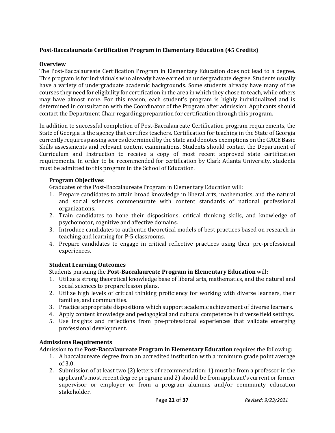#### **Post-Baccalaureate Certification Program in Elementary Education (45 Credits)**

#### **Overview**

The Post-Baccalaureate Certification Program in Elementary Education does not lead to a degree**.**  This program is for individuals who already have earned an undergraduate degree. Students usually have a variety of undergraduate academic backgrounds. Some students already have many of the courses they need for eligibility for certification in the area in which they chose to teach, while others may have almost none. For this reason, each student's program is highly individualized and is determined in consultation with the Coordinator of the Program after admission. Applicants should contact the Department Chair regarding preparation for certification through this program.

In addition to successful completion of Post-Baccalaureate Certification program requirements, the State of Georgia is the agency that certifies teachers. Certification for teaching in the State of Georgia currently requires passing scores determined by the State and denotes exemptions on the GACE Basic Skills assessments and relevant content examinations. Students should contact the Department of Curriculum and Instruction to receive a copy of most recent approved state certification requirements. In order to be recommended for certification by Clark Atlanta University, students must be admitted to this program in the School of Education.

#### **Program Objectives**

Graduates of the Post-Baccalaureate Program in Elementary Education will:

- 1. Prepare candidates to attain broad knowledge in liberal arts, mathematics, and the natural and social sciences commensurate with content standards of national professional organizations.
- 2. Train candidates to hone their dispositions, critical thinking skills, and knowledge of psychomotor, cognitive and affective domains.
- 3. Introduce candidates to authentic theoretical models of best practices based on research in teaching and learning for P-5 classrooms.
- 4. Prepare candidates to engage in critical reflective practices using their pre-professional experiences.

#### **Student Learning Outcomes**

Students pursuing the **Post-Baccalaureate Program in Elementary Education** will:

- 1. Utilize a strong theoretical knowledge base of liberal arts, mathematics, and the natural and social sciences to prepare lesson plans.
- 2. Utilize high levels of critical thinking proficiency for working with diverse learners, their families, and communities.
- 3. Practice appropriate dispositions which support academic achievement of diverse learners.
- 4. Apply content knowledge and pedagogical and cultural competence in diverse field settings.
- 5. Use insights and reflections from pre-professional experiences that validate emerging professional development.

#### **Admissions Requirements**

Admission to the **Post-Baccalaureate Program in Elementary Education** requires the following:

- 1. A baccalaureate degree from an accredited institution with a minimum grade point average of 3.0.
- 2. Submission of at least two (2) letters of recommendation: 1) must be from a professor in the applicant's most recent degree program; and 2) should be from applicant's current or former supervisor or employer or from a program alumnus and/or community education stakeholder.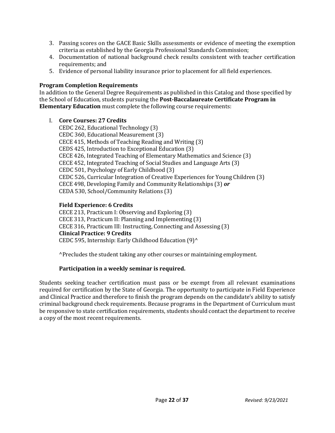- 3. Passing scores on the GACE Basic Skills assessments or evidence of meeting the exemption criteria as established by the Georgia Professional Standards Commission;
- 4. Documentation of national background check results consistent with teacher certification requirements; and
- 5. Evidence of personal liability insurance prior to placement for all field experiences.

#### **Program Completion Requirements**

In addition to the General Degree Requirements as published in this Catalog and those specified by the School of Education, students pursuing the **Post-Baccalaureate Certificate Program in Elementary Education** must complete the following course requirements:

- I. **Core Courses: 27 Credits**
	- CEDC 262, Educational Technology (3) CEDC 360, Educational Measurement (3) CECE 415, Methods of Teaching Reading and Writing (3) CEDS 425, Introduction to Exceptional Education (3) CECE 426, Integrated Teaching of Elementary Mathematics and Science (3) CECE 452, Integrated Teaching of Social Studies and Language Arts (3) CEDC 501, Psychology of Early Childhood (3) CEDC 526, Curricular Integration of Creative Experiences for Young Children (3) CECE 498, Developing Family and Community Relationships (3) *or* CEDA 530, School/Community Relations (3)

#### **Field Experience: 6 Credits**

CECE 213, Practicum I: Observing and Exploring (3) CECE 313, Practicum II: Planning and Implementing (3) CECE 316, Practicum III: Instructing, Connecting and Assessing (3) **Clinical Practice: 9 Credits** CEDC 595, Internship: Early Childhood Education (9)^

^Precludes the student taking any other courses or maintaining employment.

#### **Participation in a weekly seminar is required.**

Students seeking teacher certification must pass or be exempt from all relevant examinations required for certification by the State of Georgia. The opportunity to participate in Field Experience and Clinical Practice and therefore to finish the program depends on the candidate's ability to satisfy criminal background check requirements. Because programs in the Department of Curriculum must be responsive to state certification requirements, students should contact the department to receive a copy of the most recent requirements.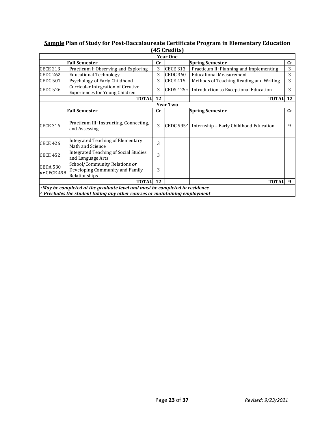#### **Sample Plan of Study for Post-Baccalaureate Certificate Program in Elementary Education (45 Credits)**

|                                |                                                                                                                                                                    |           | TO GL CUILD       |                                         |             |
|--------------------------------|--------------------------------------------------------------------------------------------------------------------------------------------------------------------|-----------|-------------------|-----------------------------------------|-------------|
|                                |                                                                                                                                                                    |           | <b>Year One</b>   |                                         |             |
|                                | <b>Fall Semester</b>                                                                                                                                               | cr        |                   | <b>Spring Semester</b>                  | cr          |
| <b>CECE 213</b>                | Practicum I: Observing and Exploring                                                                                                                               | 3         | <b>CECE 313</b>   | Practicum II: Planning and Implementing | 3           |
| CEDC <sub>262</sub>            | <b>Educational Technology</b>                                                                                                                                      | 3         | <b>CEDC 360</b>   | <b>Educational Measurement</b>          | 3           |
| <b>CEDC 501</b>                | Psychology of Early Childhood                                                                                                                                      | 3         | <b>CECE 415</b>   | Methods of Teaching Reading and Writing | 3           |
| <b>CEDC 526</b>                | <b>Curricular Integration of Creative</b><br>Experiences for Young Children                                                                                        | 3         | CEDS $425+$       | Introduction to Exceptional Education   | 3           |
|                                | <b>TOTAL</b>                                                                                                                                                       | 12        |                   | <b>TOTAL 12</b>                         |             |
|                                |                                                                                                                                                                    |           | <b>Year Two</b>   |                                         |             |
|                                | <b>Fall Semester</b>                                                                                                                                               | <b>Cr</b> |                   | <b>Spring Semester</b>                  | $_{\rm Cr}$ |
| <b>CECE 316</b>                | Practicum III: Instructing, Connecting,<br>and Assessing                                                                                                           | 3         | <b>CEDC 595^I</b> | Internship - Early Childhood Education  | 9           |
| <b>CECE 426</b>                | Integrated Teaching of Elementary<br>Math and Science                                                                                                              | 3         |                   |                                         |             |
| <b>CECE 452</b>                | Integrated Teaching of Social Studies<br>and Language Arts                                                                                                         | 3         |                   |                                         |             |
| <b>CEDA 530</b><br>or CECE 498 | School/Community Relations or<br>Developing Community and Family<br>Relationships                                                                                  | 3         |                   |                                         |             |
|                                | <b>TOTAL</b>                                                                                                                                                       | 12        |                   | <b>TOTAL</b>                            | 9           |
|                                | $+$ May be completed at the graduate level and must be completed in residence<br>$\wedge$ Precludes the student taking any other courses or maintaining employment |           |                   |                                         |             |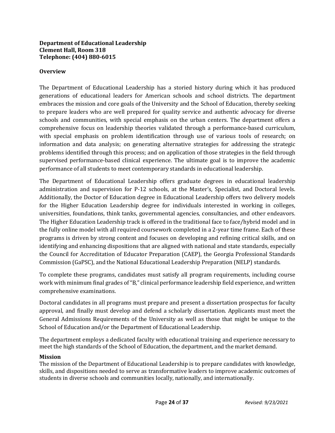#### **Department of Educational Leadership Clement Hall, Room 318 Telephone: (404) 880-6015**

#### **Overview**

The Department of Educational Leadership has a storied history during which it has produced generations of educational leaders for American schools and school districts. The department embraces the mission and core goals of the University and the School of Education, thereby seeking to prepare leaders who are well prepared for quality service and authentic advocacy for diverse schools and communities, with special emphasis on the urban centers. The department offers a comprehensive focus on leadership theories validated through a performance-based curriculum, with special emphasis on problem identification through use of various tools of research; on information and data analysis; on generating alternative strategies for addressing the strategic problems identified through this process; and on application of those strategies in the field through supervised performance-based clinical experience. The ultimate goal is to improve the academic performance of all students to meet contemporary standards in educational leadership.

The Department of Educational Leadership offers graduate degrees in educational leadership administration and supervision for P-12 schools, at the Master's, Specialist, and Doctoral levels. Additionally, the Doctor of Education degree in Educational Leadership offers two delivery models for the Higher Education Leadership degree for individuals interested in working in colleges, universities, foundations, think tanks, governmental agencies, consultancies, and other endeavors. The Higher Education Leadership track is offered in the traditional face to face/hybrid model and in the fully online model with all required coursework completed in a 2-year time frame. Each of these programs is driven by strong content and focuses on developing and refining critical skills, and on identifying and enhancing dispositions that are aligned with national and state standards, especially the Council for Accreditation of Educator Preparation (CAEP), the Georgia Professional Standards Commission (GaPSC), and the National Educational Leadership Preparation (NELP) standards.

To complete these programs, candidates must satisfy all program requirements, including course work with minimum final grades of "B," clinical performance leadership field experience, and written comprehensive examinations.

Doctoral candidates in all programs must prepare and present a dissertation prospectus for faculty approval, and finally must develop and defend a scholarly dissertation. Applicants must meet the General Admissions Requirements of the University as well as those that might be unique to the School of Education and/or the Department of Educational Leadership.

The department employs a dedicated faculty with educational training and experience necessary to meet the high standards of the School of Education, the department, and the market demand.

#### **Mission**

The mission of the Department of Educational Leadership is to prepare candidates with knowledge, skills, and dispositions needed to serve as transformative leaders to improve academic outcomes of students in diverse schools and communities locally, nationally, and internationally.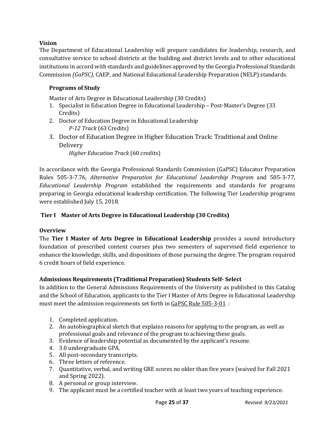#### **Vision**

The Department of Educational Leadership will prepare candidates for leadership, research, and consultative service to school districts at the building and district levels and to other educational institutions in accord with standards and guidelines approved by the Georgia Professional Standards Commission *(GaPSC)*, CAEP, and National Educational Leadership Preparation (NELP) standards.

#### **Programs of Study**

Master of Arts Degree in Educational Leadership (30 Credits)

- 1. Specialist in Education Degree in Educational Leadership Post-Master's Degree (33 Credits)
- 2. Doctor of Education Degree in Educational Leadership *P-12 Track* (63 Credits)
- 3. Doctor of Education Degree in Higher Education Track: Traditional and Online Delivery

*Higher Education Track* (60 credits)

In accordance with the Georgia Professional Standards Commission (GaPSC) Educator Preparation Rules 505-3-7.76, *Alternative Preparation for Educational Leadership Program* and 505-3-77, *Educational Leadership Program* established the requirements and standards for programs preparing in Georgia educational leadership certification. The following Tier Leadership programs were established July 15, 2018.

#### **Tier I Master of Arts Degree in Educational Leadership (30 Credits)**

#### **Overview**

The **Tier I Master of Arts Degree in Educational Leadership** provides a sound introductory foundation of prescribed content courses plus two semesters of supervised field experience to enhance the knowledge, skills, and dispositions of those pursuing the degree. The program required 6 credit hours of field experience.

#### **Admissions Requirements (Traditional Preparation) Students Self- Select**

In addition to the General Admissions Requirements of the University as published in this Catalog and the School of Education, applicants to the Tier I Master of Arts Degree in Educational Leadership must meet the admission requirements set forth in GaPSC Rule 505-3-01 :

- 1. Completed application.
- 2. An autobiographical sketch that explains reasons for applying to the program, as well as professional goals and relevance of the program to achieving these goals.
- 3. Evidence of leadership potential as documented by the applicant's resume.
- 4. 3.0 undergraduate GPA.
- 5. All post-secondary transcripts.
- 6. Three letters of reference.
- 7. Quantitative, verbal, and writing GRE scores no older than five years (waived for Fall 2021 and Spring 2022).
- 8. A personal or group interview.
- 9. The applicant must be a certified teacher with at least two years of teaching experience.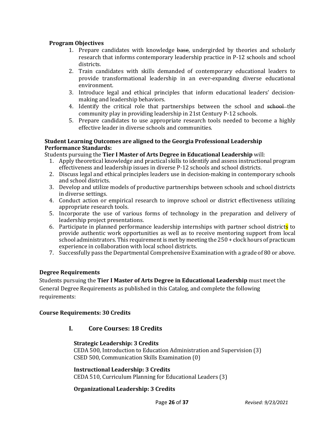#### **Program Objectives**

- 1. Prepare candidates with knowledge base, undergirded by theories and scholarly research that informs contemporary leadership practice in P-12 schools and school districts.
- 2. Train candidates with skills demanded of contemporary educational leaders to provide transformational leadership in an ever-expanding diverse educational environment.
- 3. Introduce legal and ethical principles that inform educational leaders' decisionmaking and leadership behaviors.
- 4. Identify the critical role that partnerships between the school and school-the community play in providing leadership in 21st Century P-12 schools.
- 5. Prepare candidates to use appropriate research tools needed to become a highly effective leader in diverse schools and communities.

#### **Student Learning Outcomes are aligned to the Georgia Professional Leadership Performance Standards:**

Students pursuing the **Tier I Master of Arts Degree in Educational Leadership** will:

- 1. Apply theoretical knowledge and practical skills to identify and assess instructional program effectiveness and leadership issues in diverse P-12 schools and school districts.
- 2. Discuss legal and ethical principles leaders use in decision-making in contemporary schools and school districts.
- 3. Develop and utilize models of productive partnerships between schools and school districts in diverse settings.
- 4. Conduct action or empirical research to improve school or district effectiveness utilizing appropriate research tools.
- 5. Incorporate the use of various forms of technology in the preparation and delivery of leadership project presentations.
- 6. Participate in planned performance leadership internships with partner school districts to provide authentic work opportunities as well as to receive mentoring support from local school administrators. This requirement is met by meeting the 250 + clock hours of practicum experience in collaboration with local school districts.
- 7. Successfully pass the Departmental Comprehensive Examination with a grade of 80 or above.

#### **Degree Requirements**

Students pursuing the **Tier I Master of Arts Degree in Educational Leadership** must meet the General Degree Requirements as published in this Catalog, and complete the following requirements:

#### **Course Requirements: 30 Credits**

#### **I. Core Courses: 18 Credits**

#### **Strategic Leadership: 3 Credits**

CEDA 500, Introduction to Education Administration and Supervision (3) CSED 500, Communication Skills Examination (0)

#### **Instructional Leadership: 3 Credits**

CEDA 510, Curriculum Planning for Educational Leaders (3)

#### **Organizational Leadership: 3 Credits**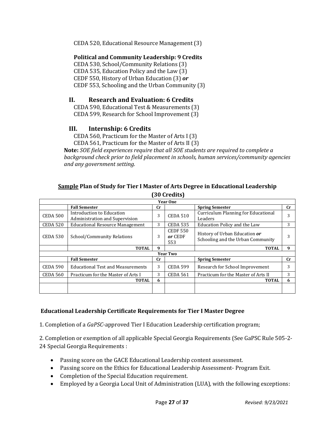CEDA 520, Educational Resource Management (3)

#### **Political and Community Leadership: 9 Credits**

CEDA 530, School/Community Relations (3) CEDA 535, Education Policy and the Law (3) CEDF 550, History of Urban Education (3) *or* CEDF 553, Schooling and the Urban Community (3)

#### **II. Research and Evaluation: 6 Credits**

CEDA 590, Educational Test & Measurements (3) CEDA 599, Research for School Improvement (3)

#### **III. Internship: 6 Credits**

CEDA 560, Practicum for the Master of Arts I (3) CEDA 561, Practicum for the Master of Arts II (3)

**Note:** *SOE field experiences require that all SOE students are required to complete a background check prior to field placement in schools, human services/community agencies and any government setting.*

#### **Sample Plan of Study for Tier I Master of Arts Degree in Educational Leadership (30 Credits)**

|                 |                                                             |             | <b>Year One</b>                   |                                                                    |             |
|-----------------|-------------------------------------------------------------|-------------|-----------------------------------|--------------------------------------------------------------------|-------------|
|                 | <b>Fall Semester</b>                                        | $_{\rm Cr}$ |                                   | <b>Spring Semester</b>                                             | $_{\rm Cr}$ |
| CEDA 500        | Introduction to Education<br>Administration and Supervision | 3           | <b>CEDA 510</b>                   | Curriculum Planning for Educational<br>Leaders                     | 3           |
| CEDA 520        | <b>Educational Resource Management</b>                      | 3           | <b>CEDA 535</b>                   | Education Policy and the Law                                       | 3           |
| <b>CEDA 530</b> | School/Community Relations                                  | 3           | <b>CEDF 550</b><br>or CEDF<br>553 | History of Urban Education or<br>Schooling and the Urban Community | 3           |
|                 | <b>TOTAL</b>                                                | 9           |                                   | <b>TOTAL</b>                                                       | 9           |
|                 |                                                             |             |                                   |                                                                    |             |
|                 |                                                             |             | <b>Year Two</b>                   |                                                                    |             |
|                 | <b>Fall Semester</b>                                        | <b>Cr</b>   |                                   | <b>Spring Semester</b>                                             | <b>Cr</b>   |
| CEDA 590        | <b>Educational Test and Measurements</b>                    | 3           | <b>CEDA 599</b>                   | Research for School Improvement                                    | 3           |
| <b>CEDA 560</b> | Practicum for the Master of Arts I                          | 3           | <b>CEDA 561</b>                   | Practicum for the Master of Arts II                                | 3           |
|                 | <b>TOTAL</b>                                                | 6           |                                   | <b>TOTAL</b>                                                       | 6           |

#### **Educational Leadership Certificate Requirements for Tier I Master Degree**

1. Completion of a *GaPSC*-approved Tier I Education Leadership certification program;

2. Completion or exemption of all applicable Special Georgia Requirements (See GaPSC Rule 505-2- 24 Special Georgia Requirements :

- Passing score on the GACE Educational Leadership content assessment.
- Passing score on the Ethics for Educational Leadership Assessment- Program Exit.
- Completion of the Special Education requirement.
- Employed by a Georgia Local Unit of Administration (LUA), with the following exceptions: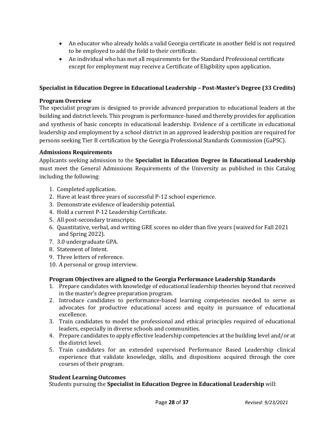- An educator who already holds a valid Georgia certificate in another field is not required to be employed to add the field to their certificate.
- An individual who has met all requirements for the Standard Professional certificate except for employment may receive a Certificate of Eligibility upon application.

#### **Specialist in Education Degree in Educational Leadership – Post-Master's Degree (33 Credits)**

#### **Program Overview**

The specialist program is designed to provide advanced preparation to educational leaders at the building and district levels. This program is performance-based and thereby provides for application and synthesis of basic concepts in educational leadership. Evidence of a certificate in educational leadership and employment by a school district in an approved leadership position are required for persons seeking Tier II certification by the Georgia Professional Standards Commission (GaPSC).

#### **Admissions Requirements**

Applicants seeking admission to the **Specialist in Education Degree in Educational Leadership** must meet the General Admissions Requirements of the University as published in this Catalog including the following:

- 1. Completed application.
- 2. Have at least three years of successful P-12 school experience.
- 3. Demonstrate evidence of leadership potential.
- 4. Hold a current P-12 Leadership Certificate.
- 5. All post-secondary transcripts.
- 6. Quantitative, verbal, and writing GRE scores no older than five years (waived for Fall 2021 and Spring 2022).
- 7. 3.0 undergraduate GPA.
- 8. Statement of Intent.
- 9. Three letters of reference.
- 10. A personal or group interview.

#### **Program Objectives are aligned to the Georgia Performance Leadership Standards**

- 1. Prepare candidates with knowledge of educational leadership theories beyond that received in the master's degree preparation program.
- 2. Introduce candidates to performance-based learning competencies needed to serve as advocates for productive educational access and equity in pursuance of educational excellence.
- 3. Train candidates to model the professional and ethical principles required of educational leaders, especially in diverse schools and communities.
- 4. Prepare candidates to apply effective leadership competencies at the building level and/or at the district level.
- 5. Train candidates for an extended supervised Performance Based Leadership clinical experience that validate knowledge, skills, and dispositions acquired through the core courses of their program.

#### **Student Learning Outcomes**

Students pursuing the **Specialist in Education Degree in Educational Leadership** will: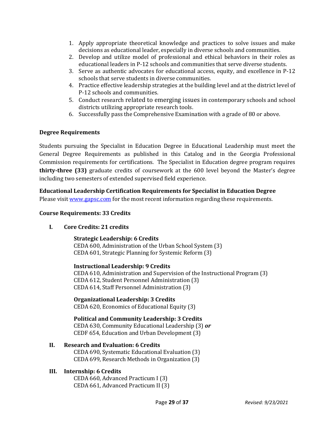- 1. Apply appropriate theoretical knowledge and practices to solve issues and make decisions as educational leader, especially in diverse schools and communities.
- 2. Develop and utilize model of professional and ethical behaviors in their roles as educational leaders in P-12 schools and communities that serve diverse students.
- 3. Serve as authentic advocates for educational access, equity, and excellence in P-12 schools that serve students in diverse communities.
- 4. Practice effective leadership strategies at the building level and at the district level of P-12 schools and communities.
- 5. Conduct research related to emerging issues in contemporary schools and school districts utilizing appropriate research tools.
- 6. Successfully pass the Comprehensive Examination with a grade of 80 or above.

#### **Degree Requirements**

Students pursuing the Specialist in Education Degree in Educational Leadership must meet the General Degree Requirements as published in this Catalog and in the Georgia Professional Commission requirements for certifications.The Specialist in Education degree program requires **thirty-three (33)** graduate credits of coursework at the 600 level beyond the Master's degree including two semesters of extended supervised field experience.

**Educational Leadership Certification Requirements for Specialist in Education Degree**  Please visit [www.gapsc.com](http://www.gapsc.com/) for the most recent information regarding these requirements.

#### **Course Requirements: 33 Credits**

#### **I. Core Credits: 21 credits**

#### **Strategic Leadership: 6 Credits** CEDA 600, Administration of the Urban School System (3) CEDA 601, Strategic Planning for Systemic Reform (3)

**Instructional Leadership: 9 Credits** CEDA 610, Administration and Supervision of the Instructional Program (3) CEDA 612, Student Personnel Administration (3) CEDA 614, Staff Personnel Administration (3)

**Organizational Leadership: 3 Credits** CEDA 620, Economics of Educational Equity (3)

**Political and Community Leadership: 3 Credits** CEDA 630, Community Educational Leadership (3) *or* CEDF 654, Education and Urban Development (3)

#### **II. Research and Evaluation: 6 Credits**

CEDA 690, Systematic Educational Evaluation (3) CEDA 699, Research Methods in Organization (3)

#### **III. Internship: 6 Credits**

CEDA 660, Advanced Practicum I (3) CEDA 661, Advanced Practicum II (3)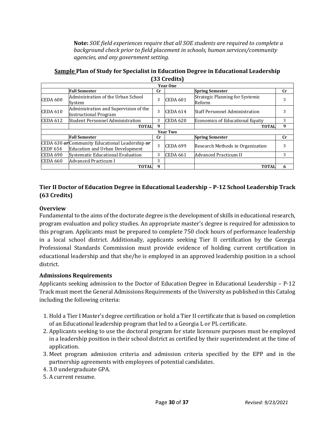**Note:** *SOE field experiences require that all SOE students are required to complete a background check prior to field placement in schools, human services/community agencies, and any government setting.*

| $\sigma$ or $\sigma$ and $\sigma$ |                                                                                           |             |                 |                                           |             |  |  |  |
|-----------------------------------|-------------------------------------------------------------------------------------------|-------------|-----------------|-------------------------------------------|-------------|--|--|--|
| <b>Year One</b>                   |                                                                                           |             |                 |                                           |             |  |  |  |
|                                   | <b>Fall Semester</b>                                                                      | Сr          |                 | <b>Spring Semester</b>                    | $_{\rm Cr}$ |  |  |  |
| CEDA 600                          | Administration of the Urban School<br>Svstem                                              | 3           | <b>CEDA 601</b> | Strategic Planning for Systemic<br>Reform |             |  |  |  |
| <b>CEDA 610</b>                   | Administration and Supervision of the<br>Instructional Program                            | 3           | CEDA 614        | <b>Staff Personnel Administration</b>     |             |  |  |  |
| CEDA 612                          | Student Personnel Administration                                                          | 3           | <b>CEDA 620</b> | Economics of Educational Equity           | 3           |  |  |  |
|                                   | <b>TOTAL</b>                                                                              | 9           |                 | <b>TOTAL</b>                              | 9           |  |  |  |
|                                   | <b>Year Two</b>                                                                           |             |                 |                                           |             |  |  |  |
|                                   | <b>Fall Semester</b>                                                                      | $_{\rm Cr}$ |                 | <b>Spring Semester</b>                    | Сr          |  |  |  |
| <b>CEDF 654</b>                   | CEDA 630 or Community Educational Leadership or<br><b>Education and Urban Development</b> | 3           | <b>CEDA 699</b> | Research Methods in Organization          |             |  |  |  |
| CEDA 690                          | Systematic Educational Evaluation                                                         | 3           | <b>CEDA 661</b> | Advanced Practicum II                     | 3           |  |  |  |
| CEDA 660                          | Advanced Practicum I                                                                      | 3           |                 |                                           |             |  |  |  |
|                                   | <b>TOTAL</b>                                                                              | -9          |                 | <b>TOTAL</b>                              | 6           |  |  |  |

**Sample Plan of Study for Specialist in Education Degree in Educational Leadership (33 Credits)**

#### **Tier II Doctor of Education Degree in Educational Leadership – P-12 School Leadership Track (63 Credits)**

#### **Overview**

Fundamental to the aims of the doctorate degree is the development of skills in educational research, program evaluation and policy studies. An appropriate master's degree is required for admission to this program. Applicants must be prepared to complete 750 clock hours of performance leadership in a local school district. Additionally, applicants seeking Tier II certification by the Georgia Professional Standards Commission must provide evidence of holding current certification in educational leadership and that she/he is employed in an approved leadership position in a school district.

#### **Admissions Requirements**

Applicants seeking admission to the Doctor of Education Degree in Educational Leadership – P-12 Track must meet the General Admissions Requirements of the University as published in this Catalog including the following criteria:

- 1. Hold a Tier I Master's degree certification or hold a Tier II certificate that is based on completion of an Educational leadership program that led to a Georgia L or PL certificate.
- 2. Applicants seeking to use the doctoral program for state licensure purposes must be employed in a leadership position in their school district as certified by their superintendent at the time of application.
- 3. Meet program admission criteria and admission criteria specified by the EPP and in the partnership agreements with employees of potential candidates.
- 4. 3.0 undergraduate GPA.
- 5. A current resume.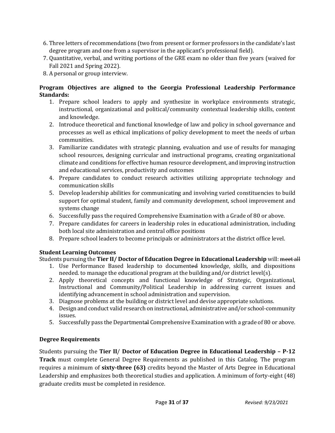- 6. Three letters of recommendations (two from present or former professors in the candidate's last degree program and one from a supervisor in the applicant's professional field).
- 7. Quantitative, verbal, and writing portions of the GRE exam no older than five years (waived for Fall 2021 and Spring 2022).
- 8. A personal or group interview.

#### **Program Objectives are aligned to the Georgia Professional Leadership Performance Standards:**

- 1. Prepare school leaders to apply and synthesize in workplace environments strategic, instructional, organizational and political/community contextual leadership skills, content and knowledge.
- 2. Introduce theoretical and functional knowledge of law and policy in school governance and processes as well as ethical implications of policy development to meet the needs of urban communities.
- 3. Familiarize candidates with strategic planning, evaluation and use of results for managing school resources, designing curricular and instructional programs, creating organizational climate and conditions for effective human resource development, and improving instruction and educational services, productivity and outcomes
- 4. Prepare candidates to conduct research activities utilizing appropriate technology and communication skills
- 5. Develop leadership abilities for communicating and involving varied constituencies to build support for optimal student, family and community development, school improvement and systems change
- 6. Successfully pass the required Comprehensive Examination with a Grade of 80 or above.
- 7. Prepare candidates for careers in leadership roles in educational administration, including both local site administration and central office positions
- 8. Prepare school leaders to become principals or administrators at the district office level.

### **Student Learning Outcomes**

### Students pursuing the **Tier II/ Doctor of Education Degree in Educational Leadership** will: meet all

- 1. Use Performance Based leadership to documented knowledge, skills, and dispositions needed. to manage the educational program at the building and/or district level(s).
- 2. Apply theoretical concepts and functional knowledge of Strategic, Organizational, Instructional and Community/Political Leadership in addressing current issues and identifying advancement in school administration and supervision.
- 3. Diagnose problems at the building or district level and devise appropriate solutions.
- 4. Design and conduct valid research on instructional, administrative and/or school-community issues.
- 5. Successfully pass the Departmental Comprehensive Examination with a grade of 80 or above.

### **Degree Requirements**

Students pursuing the **Tier II**/ **Doctor of Education Degree in Educational Leadership – P-12 Track** must complete General Degree Requirements as published in this Catalog. The program requires a minimum of **sixty-three (63)** credits beyond the Master of Arts Degree in Educational Leadership and emphasizes both theoretical studies and application. A minimum of forty-eight (48) graduate credits must be completed in residence.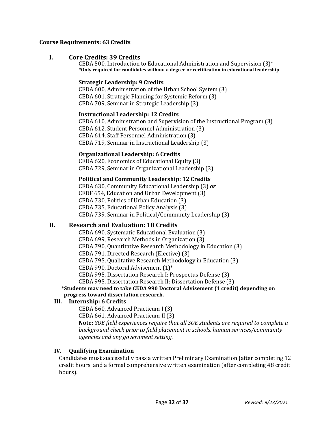#### **Course Requirements: 63 Credits**

#### **I. Core Credits: 39 Credits**

CEDA 500, Introduction to Educational Administration and Supervision (3)\* **\*Only required for candidates without a degree or certification in educational leadership**

#### **Strategic Leadership: 9 Credits**

CEDA 600, Administration of the Urban School System (3) CEDA 601, Strategic Planning for Systemic Reform (3) CEDA 709, Seminar in Strategic Leadership (3)

#### **Instructional Leadership: 12 Credits**

CEDA 610, Administration and Supervision of the Instructional Program (3) CEDA 612, Student Personnel Administration (3) CEDA 614, Staff Personnel Administration (3) CEDA 719, Seminar in Instructional Leadership (3)

#### **Organizational Leadership: 6 Credits**

CEDA 620, Economics of Educational Equity (3) CEDA 729, Seminar in Organizational Leadership (3)

#### **Political and Community Leadership: 12 Credits**

CEDA 630, Community Educational Leadership (3) *or* CEDF 654, Education and Urban Development (3) CEDA 730, Politics of Urban Education (3) CEDA 735, Educational Policy Analysis (3) CEDA 739, Seminar in Political/Community Leadership (3)

#### **II. Research and Evaluation: 18 Credits**

CEDA 690, Systematic Educational Evaluation (3)

CEDA 699, Research Methods in Organization (3)

CEDA 790, Quantitative Research Methodology in Education (3)

CEDA 791, Directed Research (Elective) (3)

CEDA 795, Qualitative Research Methodology in Education (3)

CEDA 990, Doctoral Advisement (1)\*

CEDA 995, Dissertation Research I: Prospectus Defense (3)

CEDA 995, Dissertation Research II: Dissertation Defense (3)

**\*Students may need to take CEDA 990 Doctoral Advisement (1 credit) depending on progress toward dissertation research.**

#### **III. Internship: 6 Credits**

CEDA 660, Advanced Practicum I (3)

CEDA 661, Advanced Practicum II (3)

**Note:** *SOE field experiences require that all SOE students are required to complete a background check prior to field placement in schools, human services/community agencies and any government setting.*

#### **IV. Qualifying Examination**

Candidates must successfully pass a written Preliminary Examination (after completing 12 credit hours and a formal comprehensive written examination (after completing 48 credit hours).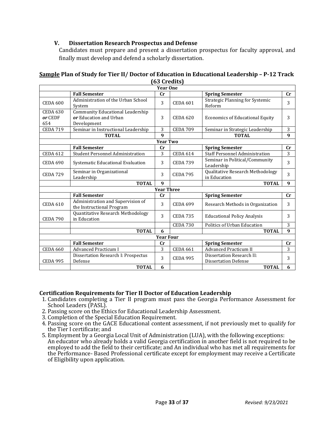#### **V. Dissertation Research Prospectus and Defense**

Candidates must prepare and present a dissertation prospectus for faculty approval, and finally must develop and defend a scholarly dissertation.

|                                   |                                                                           | <b>Year One</b>   |                 |                                                          |                |
|-----------------------------------|---------------------------------------------------------------------------|-------------------|-----------------|----------------------------------------------------------|----------------|
|                                   | <b>Fall Semester</b>                                                      | cr                |                 | <b>Spring Semester</b>                                   | cr             |
| <b>CEDA 600</b>                   | Administration of the Urban School<br>System                              | 3                 | <b>CEDA 601</b> | Strategic Planning for Systemic<br>Reform                | 3              |
| <b>CEDA 630</b><br>or CEDF<br>654 | Community Educational Leadership<br>or Education and Urban<br>Development | 3                 | <b>CEDA 620</b> | <b>Economics of Educational Equity</b>                   | 3              |
| <b>CEDA 719</b>                   | Seminar in Instructional Leadership                                       | 3                 | <b>CEDA 709</b> | Seminar in Strategic Leadership                          | 3              |
|                                   | <b>TOTAL</b>                                                              | $\mathbf q$       |                 | <b>TOTAL</b>                                             | 9              |
|                                   |                                                                           | <b>Year Two</b>   |                 |                                                          |                |
|                                   | <b>Fall Semester</b>                                                      | cr                |                 | <b>Spring Semester</b>                                   | cr             |
| <b>CEDA 612</b>                   | <b>Student Personnel Administration</b>                                   | 3                 | <b>CEDA 614</b> | <b>Staff Personnel Administration</b>                    | 3              |
| <b>CEDA 690</b>                   | Systematic Educational Evaluation                                         | 3                 | <b>CEDA 739</b> | Seminar in Political/Community<br>Leadership             | 3              |
| <b>CEDA 729</b>                   | Seminar in Organizational<br>Leadership                                   | 3                 | <b>CEDA 795</b> | Qualitative Research Methodology<br>in Education         | 3              |
|                                   | <b>TOTAL</b>                                                              | $\boldsymbol{q}$  |                 | <b>TOTAL</b>                                             | 9              |
|                                   |                                                                           | <b>Year Three</b> |                 |                                                          |                |
|                                   | <b>Fall Semester</b>                                                      | $_{\rm Cr}$       |                 | <b>Spring Semester</b>                                   | cr             |
| <b>CEDA 610</b>                   | Administration and Supervision of<br>the Instructional Program            | 3                 | <b>CEDA 699</b> | Research Methods in Organization                         | 3              |
| <b>CEDA 790</b>                   | Quantitative Research Methodology<br>in Education                         | 3                 | <b>CEDA 735</b> | <b>Educational Policy Analysis</b>                       | 3              |
|                                   |                                                                           |                   | <b>CEDA 730</b> | Politics of Urban Education                              | 3              |
|                                   | <b>TOTAL</b>                                                              | 6                 |                 | <b>TOTAL</b>                                             | 9              |
|                                   |                                                                           | <b>Year Four</b>  |                 |                                                          |                |
|                                   | <b>Fall Semester</b>                                                      | cr                |                 | <b>Spring Semester</b>                                   | $\mathbf{C}$ r |
| <b>CEDA 660</b>                   | <b>Advanced Practicum I</b>                                               | 3                 | <b>CEDA 661</b> | Advanced Practicum II                                    | 3              |
| <b>CEDA 995</b>                   | Dissertation Research I: Prospectus<br>Defense                            | 3                 | <b>CEDA 995</b> | Dissertation Research II:<br><b>Dissertation Defense</b> | 3              |
|                                   | <b>TOTAL</b>                                                              | 6                 |                 | <b>TOTAL</b>                                             | 6              |

#### **Sample Plan of Study for Tier II/ Doctor of Education in Educational Leadership – P-12 Track (63 Credits)**

#### **Certification Requirements for Tier II Doctor of Education Leadership**

- 1. Candidates completing a Tier II program must pass the Georgia Performance Assessment for
- 2. Passing score on the Ethics for Educational Leadership Assessment.<br>3. Completion of the Special Education Requirement.
- 
- 4. Passing score on the GACE Educational content assessment, if not previously met to qualify for the Tier I certificate; and
- 5. Employment by a Georgia Local Unit of Administration (LUA), with the following exceptions: An educator who already holds a valid Georgia certification in another field is not required to be employed to add the field to their certificate; and An individual who has met all requirements for the Performance- Based Professional certificate except for employment may receive a Certificate of Eligibility upon application.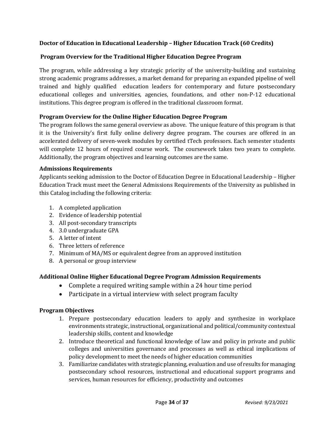#### **Doctor of Education in Educational Leadership – Higher Education Track (60 Credits)**

#### **Program Overview for the Traditional Higher Education Degree Program**

The program, while addressing a key strategic priority of the university-building and sustaining strong academic programs addresses, a market demand for preparing an expanded pipeline of well trained and highly qualified education leaders for contemporary and future postsecondary educational colleges and universities, agencies, foundations, and other non-P-12 educational institutions. This degree program is offered in the traditional classroom format.

#### **Program Overview for the Online Higher Education Degree Program**

The program follows the same general overview as above. The unique feature of this program is that it is the University's first fully online delivery degree program. The courses are offered in an accelerated delivery of seven-week modules by certified tTech professors. Each semester students will complete 12 hours of required course work. The coursework takes two years to complete. Additionally, the program objectives and learning outcomes are the same.

#### **Admissions Requirements**

Applicants seeking admission to the Doctor of Education Degree in Educational Leadership – Higher Education Track must meet the General Admissions Requirements of the University as published in this Catalog including the following criteria:

- 1. A completed application
- 2. Evidence of leadership potential
- 3. All post-secondary transcripts
- 4. 3.0 undergraduate GPA
- 5. A letter of intent
- 6. Three letters of reference
- 7. Minimum of MA/MS or equivalent degree from an approved institution
- 8. A personal or group interview

#### **Additional Online Higher Educational Degree Program Admission Requirements**

- Complete a required writing sample within a 24 hour time period
- Participate in a virtual interview with select program faculty

#### **Program Objectives**

- 1. Prepare postsecondary education leaders to apply and synthesize in workplace environments strategic, instructional, organizational and political/community contextual leadership skills, content and knowledge
- 2. Introduce theoretical and functional knowledge of law and policy in private and public colleges and universities governance and processes as well as ethical implications of policy development to meet the needs of higher education communities
- 3. Familiarize candidates with strategic planning, evaluation and use of results for managing postsecondary school resources, instructional and educational support programs and services, human resources for efficiency, productivity and outcomes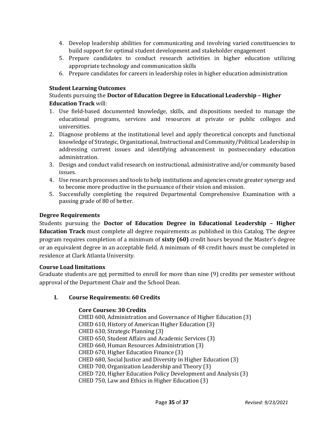- 4. Develop leadership abilities for communicating and involving varied constituencies to build support for optimal student development and stakeholder engagement
- 5. Prepare candidates to conduct research activities in higher education utilizing appropriate technology and communication skills
- 6. Prepare candidates for careers in leadership roles in higher education administration

#### **Student Learning Outcomes**

#### Students pursuing the **Doctor of Education Degree in Educational Leadership – Higher Education Track** will:

- 1. Use field-based documented knowledge, skills, and dispositions needed to manage the educational programs, services and resources at private or public colleges and universities.
- 2. Diagnose problems at the institutional level and apply theoretical concepts and functional knowledge of Strategic, Organizational, Instructional and Community/Political Leadership in addressing current issues and identifying advancement in postsecondary education administration.
- 3. Design and conduct valid research on instructional, administrative and/or community based issues.
- 4. Use research processes and tools to help institutions and agencies create greater synergy and to become more productive in the pursuance of their vision and mission.
- 5. Successfully completing the required Departmental Comprehensive Examination with a passing grade of 80 of better.

#### **Degree Requirements**

Students pursuing the **Doctor of Education Degree in Educational Leadership – Higher Education Track** must complete all degree requirements as published in this Catalog. The degree program requires completion of a minimum of **sixty (60)** credit hours beyond the Master's degree or an equivalent degree in an acceptable field. A minimum of 48 credit hours must be completed in residence at Clark Atlanta University.

#### **Course Load limitations**

Graduate students are not permitted to enroll for more than nine (9) credits per semester without approval of the Department Chair and the School Dean.

#### **I. Course Requirements: 60 Credits**

#### **Core Courses: 30 Credits**

CHED 600, Administration and Governance of Higher Education (3) CHED 610, History of American Higher Education (3) CHED 630, Strategic Planning (3) CHED 650, Student Affairs and Academic Services (3) CHED 660, Human Resources Administration (3) CHED 670, Higher Education Finance (3) CHED 680, Social Justice and Diversity in Higher Education (3) CHED 700, Organization Leadership and Theory (3) CHED 720, Higher Education Policy Development and Analysis (3) CHED 750, Law and Ethics in Higher Education (3)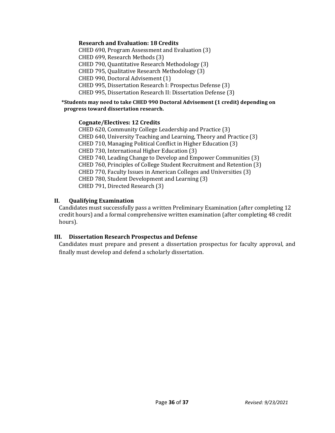#### **Research and Evaluation: 18 Credits**

CHED 690, Program Assessment and Evaluation (3) CHED 699, Research Methods (3) CHED 790, Quantitative Research Methodology (3) CHED 795, Qualitative Research Methodology (3) CHED 990, Doctoral Advisement (1) CHED 995, Dissertation Research I: Prospectus Defense (3) CHED 995, Dissertation Research II: Dissertation Defense (3)

#### **\*Students may need to take CHED 990 Doctoral Advisement (1 credit) depending on progress toward dissertation research.**

#### **Cognate/Electives: 12 Credits**

CHED 620, Community College Leadership and Practice (3) CHED 640, University Teaching and Learning, Theory and Practice (3) CHED 710, Managing Political Conflict in Higher Education (3) CHED 730, International Higher Education (3) CHED 740, Leading Change to Develop and Empower Communities (3) CHED 760, Principles of College Student Recruitment and Retention (3) CHED 770, Faculty Issues in American Colleges and Universities (3) CHED 780, Student Development and Learning (3) CHED 791, Directed Research (3)

#### **II. Qualifying Examination**

Candidates must successfully pass a written Preliminary Examination (after completing 12 credit hours) and a formal comprehensive written examination (after completing 48 credit hours).

#### **III. Dissertation Research Prospectus and Defense**

Candidates must prepare and present a dissertation prospectus for faculty approval, and finally must develop and defend a scholarly dissertation.